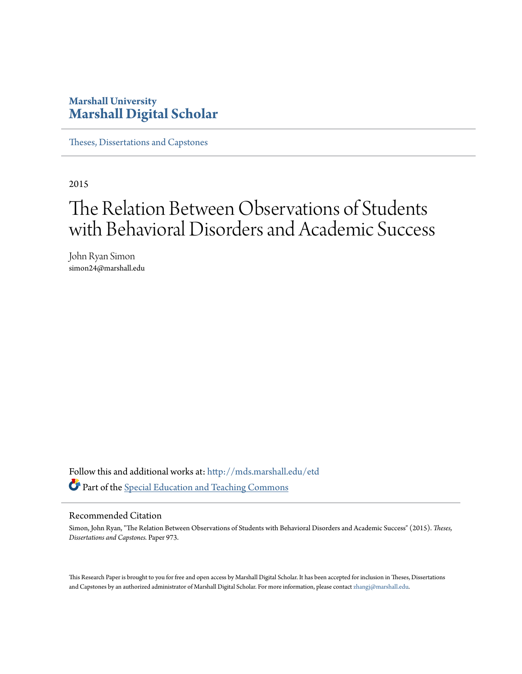# **Marshall University [Marshall Digital Scholar](http://mds.marshall.edu?utm_source=mds.marshall.edu%2Fetd%2F973&utm_medium=PDF&utm_campaign=PDFCoverPages)**

[Theses, Dissertations and Capstones](http://mds.marshall.edu/etd?utm_source=mds.marshall.edu%2Fetd%2F973&utm_medium=PDF&utm_campaign=PDFCoverPages)

2015

# The Relation Between Observations of Students with Behavioral Disorders and Academic Success

John Ryan Simon simon24@marshall.edu

Follow this and additional works at: [http://mds.marshall.edu/etd](http://mds.marshall.edu/etd?utm_source=mds.marshall.edu%2Fetd%2F973&utm_medium=PDF&utm_campaign=PDFCoverPages) Part of the [Special Education and Teaching Commons](http://network.bepress.com/hgg/discipline/801?utm_source=mds.marshall.edu%2Fetd%2F973&utm_medium=PDF&utm_campaign=PDFCoverPages)

#### Recommended Citation

Simon, John Ryan, "The Relation Between Observations of Students with Behavioral Disorders and Academic Success" (2015). *Theses, Dissertations and Capstones.* Paper 973.

This Research Paper is brought to you for free and open access by Marshall Digital Scholar. It has been accepted for inclusion in Theses, Dissertations and Capstones by an authorized administrator of Marshall Digital Scholar. For more information, please contact [zhangj@marshall.edu](mailto:zhangj@marshall.edu).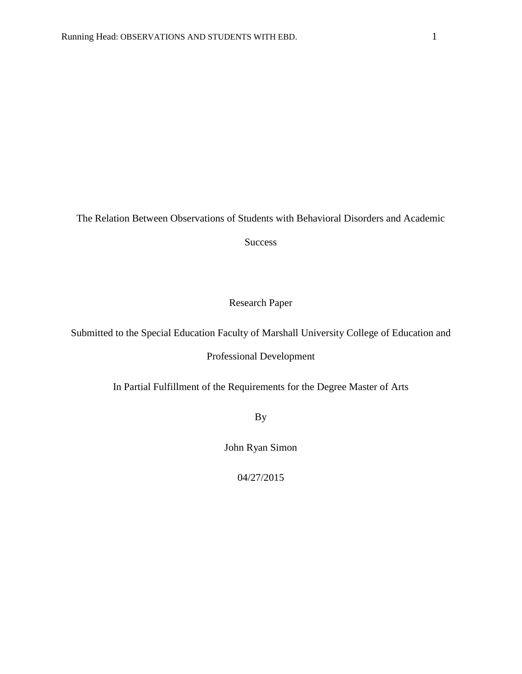The Relation Between Observations of Students with Behavioral Disorders and Academic

Success

Research Paper

Submitted to the Special Education Faculty of Marshall University College of Education and

Professional Development

In Partial Fulfillment of the Requirements for the Degree Master of Arts

By

John Ryan Simon

04/27/2015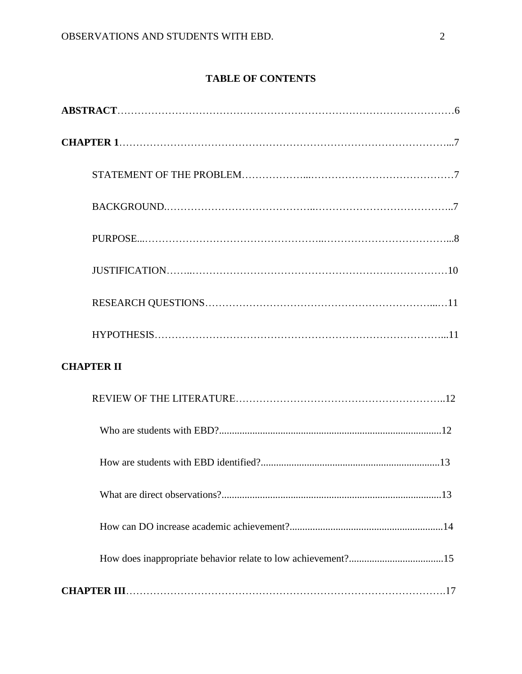# **TABLE OF CONTENTS**

| <b>CHAPTER II</b> |  |
|-------------------|--|
|                   |  |
|                   |  |
|                   |  |
|                   |  |
|                   |  |
|                   |  |
|                   |  |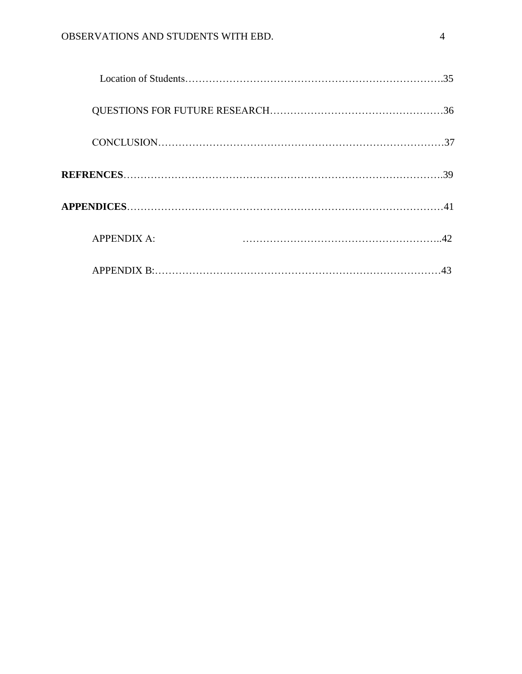|                    | 39       |
|--------------------|----------|
|                    |          |
| <b>APPENDIX A:</b> | $\Delta$ |
|                    |          |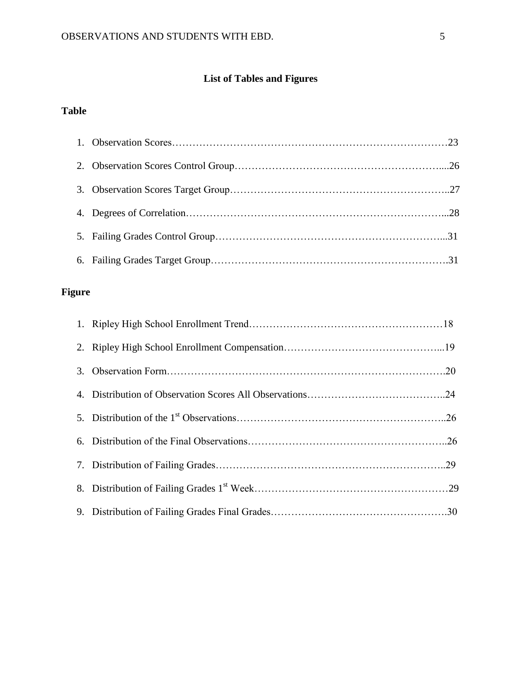# **List of Tables and Figures**

# **Table**

# **Figure**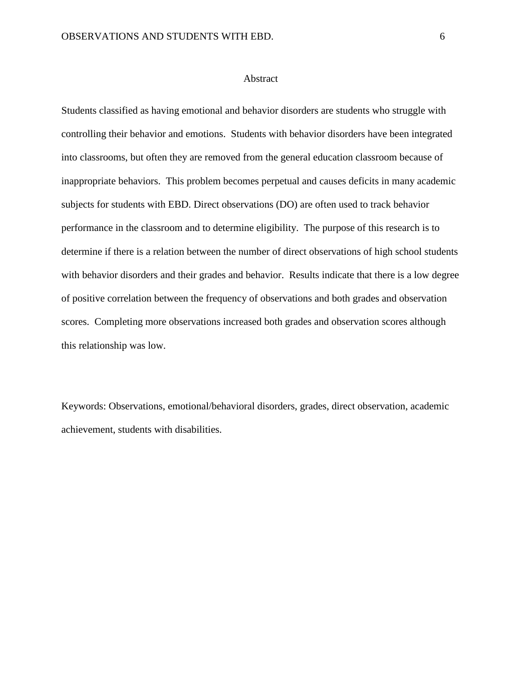#### Abstract

Students classified as having emotional and behavior disorders are students who struggle with controlling their behavior and emotions. Students with behavior disorders have been integrated into classrooms, but often they are removed from the general education classroom because of inappropriate behaviors. This problem becomes perpetual and causes deficits in many academic subjects for students with EBD. Direct observations (DO) are often used to track behavior performance in the classroom and to determine eligibility. The purpose of this research is to determine if there is a relation between the number of direct observations of high school students with behavior disorders and their grades and behavior. Results indicate that there is a low degree of positive correlation between the frequency of observations and both grades and observation scores. Completing more observations increased both grades and observation scores although this relationship was low.

Keywords: Observations, emotional/behavioral disorders, grades, direct observation, academic achievement, students with disabilities.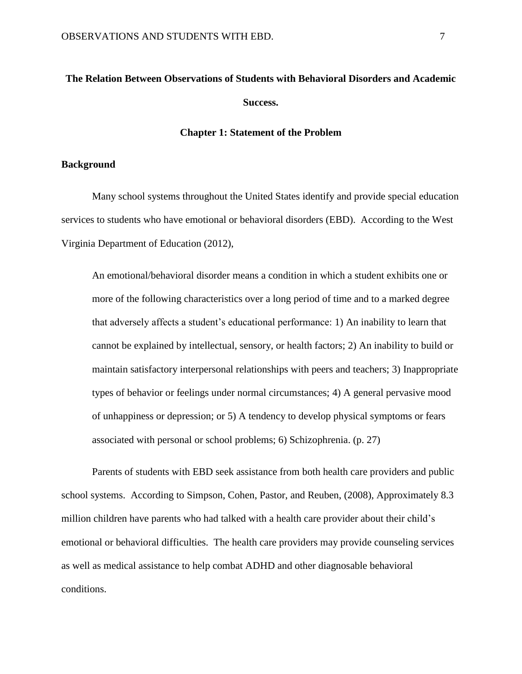# **The Relation Between Observations of Students with Behavioral Disorders and Academic Success.**

## **Chapter 1: Statement of the Problem**

# **Background**

Many school systems throughout the United States identify and provide special education services to students who have emotional or behavioral disorders (EBD). According to the West Virginia Department of Education (2012),

An emotional/behavioral disorder means a condition in which a student exhibits one or more of the following characteristics over a long period of time and to a marked degree that adversely affects a student's educational performance: 1) An inability to learn that cannot be explained by intellectual, sensory, or health factors; 2) An inability to build or maintain satisfactory interpersonal relationships with peers and teachers; 3) Inappropriate types of behavior or feelings under normal circumstances; 4) A general pervasive mood of unhappiness or depression; or 5) A tendency to develop physical symptoms or fears associated with personal or school problems; 6) Schizophrenia. (p. 27)

Parents of students with EBD seek assistance from both health care providers and public school systems. According to Simpson, Cohen, Pastor, and Reuben, (2008), Approximately 8.3 million children have parents who had talked with a health care provider about their child's emotional or behavioral difficulties. The health care providers may provide counseling services as well as medical assistance to help combat ADHD and other diagnosable behavioral conditions.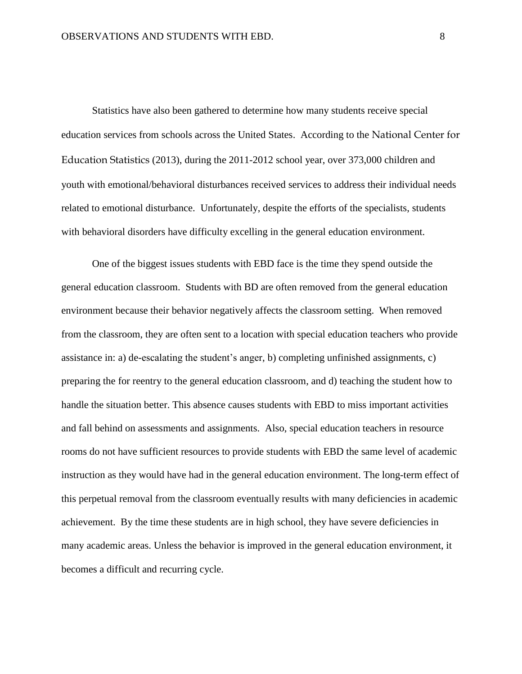Statistics have also been gathered to determine how many students receive special education services from schools across the United States. According to the National Center for Education Statistics (2013), during the 2011-2012 school year, over 373,000 children and youth with emotional/behavioral disturbances received services to address their individual needs related to emotional disturbance. Unfortunately, despite the efforts of the specialists, students with behavioral disorders have difficulty excelling in the general education environment.

One of the biggest issues students with EBD face is the time they spend outside the general education classroom. Students with BD are often removed from the general education environment because their behavior negatively affects the classroom setting. When removed from the classroom, they are often sent to a location with special education teachers who provide assistance in: a) de-escalating the student's anger, b) completing unfinished assignments, c) preparing the for reentry to the general education classroom, and d) teaching the student how to handle the situation better. This absence causes students with EBD to miss important activities and fall behind on assessments and assignments. Also, special education teachers in resource rooms do not have sufficient resources to provide students with EBD the same level of academic instruction as they would have had in the general education environment. The long-term effect of this perpetual removal from the classroom eventually results with many deficiencies in academic achievement. By the time these students are in high school, they have severe deficiencies in many academic areas. Unless the behavior is improved in the general education environment, it becomes a difficult and recurring cycle.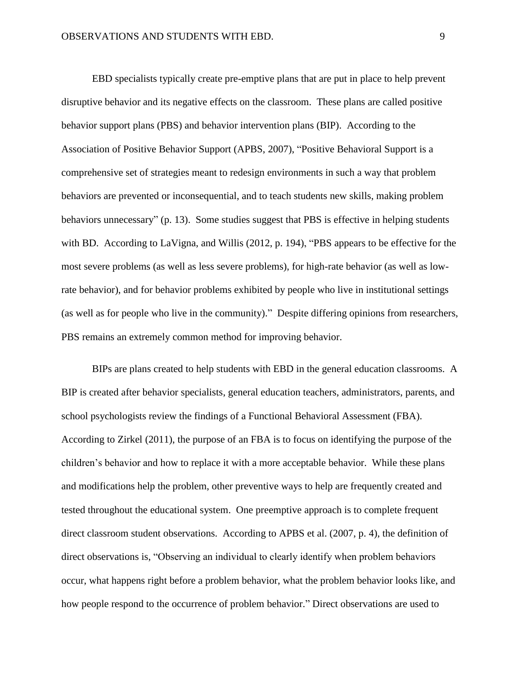EBD specialists typically create pre-emptive plans that are put in place to help prevent disruptive behavior and its negative effects on the classroom. These plans are called positive behavior support plans (PBS) and behavior intervention plans (BIP). According to the Association of Positive Behavior Support (APBS, 2007), "Positive Behavioral Support is a comprehensive set of strategies meant to redesign environments in such a way that problem behaviors are prevented or inconsequential, and to teach students new skills, making problem behaviors unnecessary" (p. 13). Some studies suggest that PBS is effective in helping students with BD. According to LaVigna, and Willis (2012, p. 194), "PBS appears to be effective for the most severe problems (as well as less severe problems), for high-rate behavior (as well as lowrate behavior), and for behavior problems exhibited by people who live in institutional settings (as well as for people who live in the community)." Despite differing opinions from researchers, PBS remains an extremely common method for improving behavior.

BIPs are plans created to help students with EBD in the general education classrooms. A BIP is created after behavior specialists, general education teachers, administrators, parents, and school psychologists review the findings of a Functional Behavioral Assessment (FBA). According to Zirkel (2011), the purpose of an FBA is to focus on identifying the purpose of the children's behavior and how to replace it with a more acceptable behavior. While these plans and modifications help the problem, other preventive ways to help are frequently created and tested throughout the educational system. One preemptive approach is to complete frequent direct classroom student observations. According to APBS et al. (2007, p. 4), the definition of direct observations is, "Observing an individual to clearly identify when problem behaviors occur, what happens right before a problem behavior, what the problem behavior looks like, and how people respond to the occurrence of problem behavior." Direct observations are used to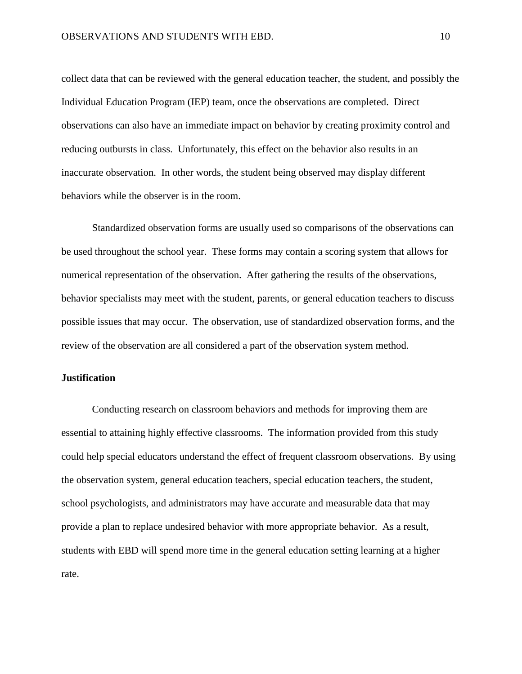collect data that can be reviewed with the general education teacher, the student, and possibly the Individual Education Program (IEP) team, once the observations are completed. Direct observations can also have an immediate impact on behavior by creating proximity control and reducing outbursts in class. Unfortunately, this effect on the behavior also results in an inaccurate observation. In other words, the student being observed may display different behaviors while the observer is in the room.

Standardized observation forms are usually used so comparisons of the observations can be used throughout the school year. These forms may contain a scoring system that allows for numerical representation of the observation. After gathering the results of the observations, behavior specialists may meet with the student, parents, or general education teachers to discuss possible issues that may occur. The observation, use of standardized observation forms, and the review of the observation are all considered a part of the observation system method.

#### **Justification**

Conducting research on classroom behaviors and methods for improving them are essential to attaining highly effective classrooms. The information provided from this study could help special educators understand the effect of frequent classroom observations. By using the observation system, general education teachers, special education teachers, the student, school psychologists, and administrators may have accurate and measurable data that may provide a plan to replace undesired behavior with more appropriate behavior. As a result, students with EBD will spend more time in the general education setting learning at a higher rate.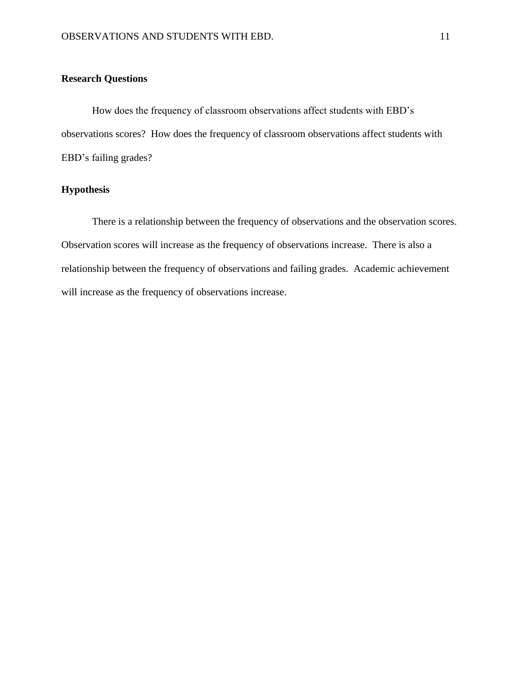# **Research Questions**

How does the frequency of classroom observations affect students with EBD's observations scores? How does the frequency of classroom observations affect students with EBD's failing grades?

# **Hypothesis**

There is a relationship between the frequency of observations and the observation scores. Observation scores will increase as the frequency of observations increase. There is also a relationship between the frequency of observations and failing grades. Academic achievement will increase as the frequency of observations increase.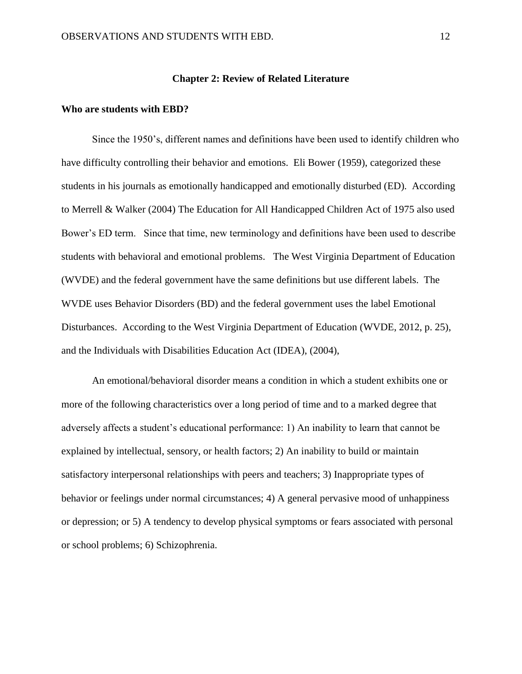## **Chapter 2: Review of Related Literature**

# **Who are students with EBD?**

Since the 1950's, different names and definitions have been used to identify children who have difficulty controlling their behavior and emotions. Eli Bower (1959), categorized these students in his journals as emotionally handicapped and emotionally disturbed (ED). According to Merrell & Walker (2004) The Education for All Handicapped Children Act of 1975 also used Bower's ED term. Since that time, new terminology and definitions have been used to describe students with behavioral and emotional problems. The West Virginia Department of Education (WVDE) and the federal government have the same definitions but use different labels. The WVDE uses Behavior Disorders (BD) and the federal government uses the label Emotional Disturbances. According to the West Virginia Department of Education (WVDE, 2012, p. 25), and the Individuals with Disabilities Education Act (IDEA), (2004),

An emotional/behavioral disorder means a condition in which a student exhibits one or more of the following characteristics over a long period of time and to a marked degree that adversely affects a student's educational performance: 1) An inability to learn that cannot be explained by intellectual, sensory, or health factors; 2) An inability to build or maintain satisfactory interpersonal relationships with peers and teachers; 3) Inappropriate types of behavior or feelings under normal circumstances; 4) A general pervasive mood of unhappiness or depression; or 5) A tendency to develop physical symptoms or fears associated with personal or school problems; 6) Schizophrenia.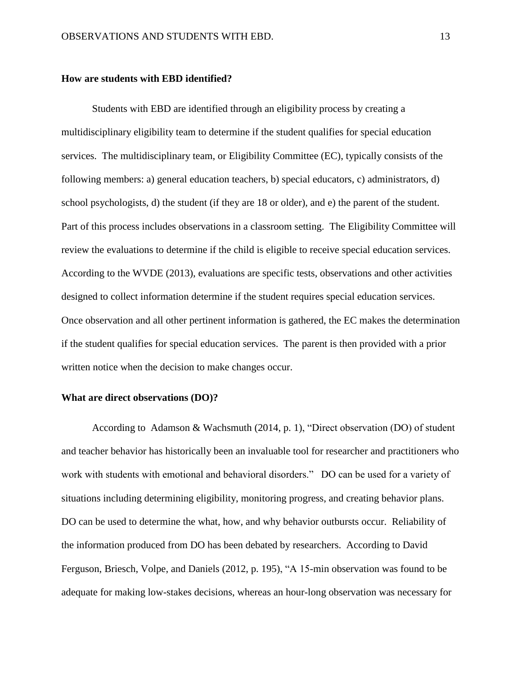#### **How are students with EBD identified?**

Students with EBD are identified through an eligibility process by creating a multidisciplinary eligibility team to determine if the student qualifies for special education services. The multidisciplinary team, or Eligibility Committee (EC), typically consists of the following members: a) general education teachers, b) special educators, c) administrators, d) school psychologists, d) the student (if they are 18 or older), and e) the parent of the student. Part of this process includes observations in a classroom setting. The Eligibility Committee will review the evaluations to determine if the child is eligible to receive special education services. According to the WVDE (2013), evaluations are specific tests, observations and other activities designed to collect information determine if the student requires special education services. Once observation and all other pertinent information is gathered, the EC makes the determination if the student qualifies for special education services. The parent is then provided with a prior written notice when the decision to make changes occur.

#### **What are direct observations (DO)?**

According to Adamson & Wachsmuth (2014, p. 1), "Direct observation (DO) of student and teacher behavior has historically been an invaluable tool for researcher and practitioners who work with students with emotional and behavioral disorders." DO can be used for a variety of situations including determining eligibility, monitoring progress, and creating behavior plans. DO can be used to determine the what, how, and why behavior outbursts occur. Reliability of the information produced from DO has been debated by researchers. According to David Ferguson, Briesch, Volpe, and Daniels (2012, p. 195), "A 15-min observation was found to be adequate for making low-stakes decisions, whereas an hour-long observation was necessary for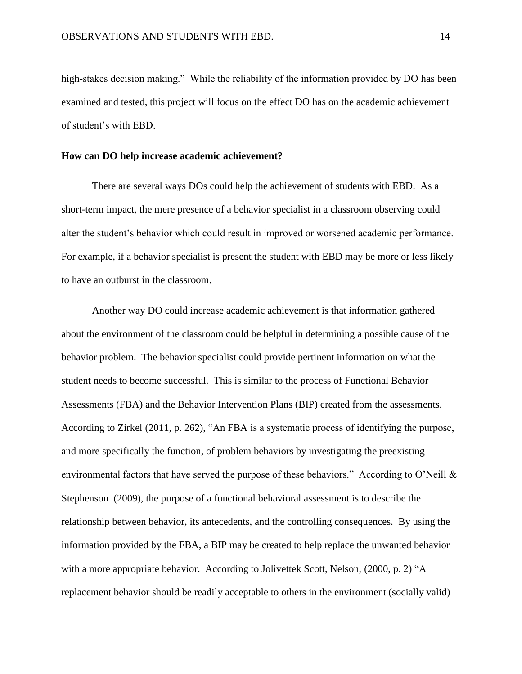high-stakes decision making." While the reliability of the information provided by DO has been examined and tested, this project will focus on the effect DO has on the academic achievement of student's with EBD.

# **How can DO help increase academic achievement?**

There are several ways DOs could help the achievement of students with EBD. As a short-term impact, the mere presence of a behavior specialist in a classroom observing could alter the student's behavior which could result in improved or worsened academic performance. For example, if a behavior specialist is present the student with EBD may be more or less likely to have an outburst in the classroom.

Another way DO could increase academic achievement is that information gathered about the environment of the classroom could be helpful in determining a possible cause of the behavior problem. The behavior specialist could provide pertinent information on what the student needs to become successful. This is similar to the process of Functional Behavior Assessments (FBA) and the Behavior Intervention Plans (BIP) created from the assessments. According to Zirkel (2011, p. 262), "An FBA is a systematic process of identifying the purpose, and more specifically the function, of problem behaviors by investigating the preexisting environmental factors that have served the purpose of these behaviors." According to O'Neill  $\&$ Stephenson (2009), the purpose of a functional behavioral assessment is to describe the relationship between behavior, its antecedents, and the controlling consequences. By using the information provided by the FBA, a BIP may be created to help replace the unwanted behavior with a more appropriate behavior. According to Jolivettek Scott, Nelson, (2000, p. 2) "A replacement behavior should be readily acceptable to others in the environment (socially valid)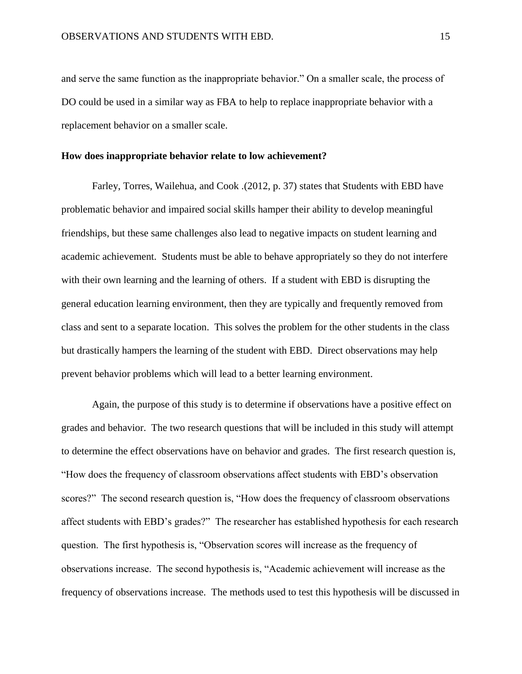and serve the same function as the inappropriate behavior." On a smaller scale, the process of DO could be used in a similar way as FBA to help to replace inappropriate behavior with a replacement behavior on a smaller scale.

# **How does inappropriate behavior relate to low achievement?**

Farley, Torres, Wailehua, and Cook .(2012, p. 37) states that Students with EBD have problematic behavior and impaired social skills hamper their ability to develop meaningful friendships, but these same challenges also lead to negative impacts on student learning and academic achievement. Students must be able to behave appropriately so they do not interfere with their own learning and the learning of others. If a student with EBD is disrupting the general education learning environment, then they are typically and frequently removed from class and sent to a separate location. This solves the problem for the other students in the class but drastically hampers the learning of the student with EBD. Direct observations may help prevent behavior problems which will lead to a better learning environment.

Again, the purpose of this study is to determine if observations have a positive effect on grades and behavior. The two research questions that will be included in this study will attempt to determine the effect observations have on behavior and grades. The first research question is, "How does the frequency of classroom observations affect students with EBD's observation scores?" The second research question is, "How does the frequency of classroom observations affect students with EBD's grades?" The researcher has established hypothesis for each research question. The first hypothesis is, "Observation scores will increase as the frequency of observations increase. The second hypothesis is, "Academic achievement will increase as the frequency of observations increase. The methods used to test this hypothesis will be discussed in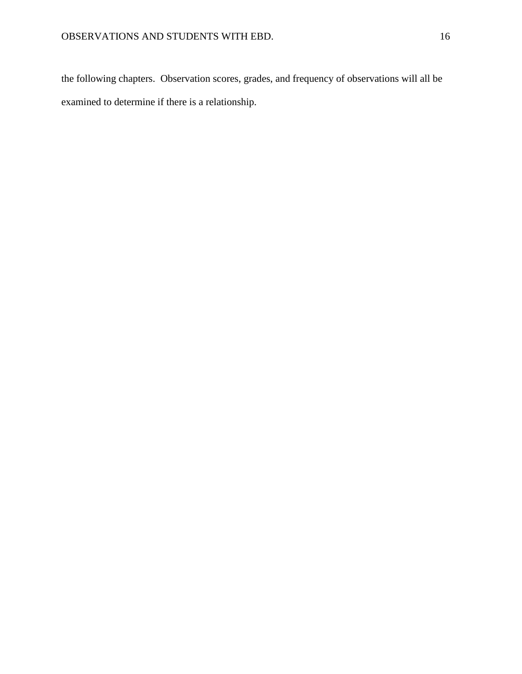the following chapters. Observation scores, grades, and frequency of observations will all be examined to determine if there is a relationship.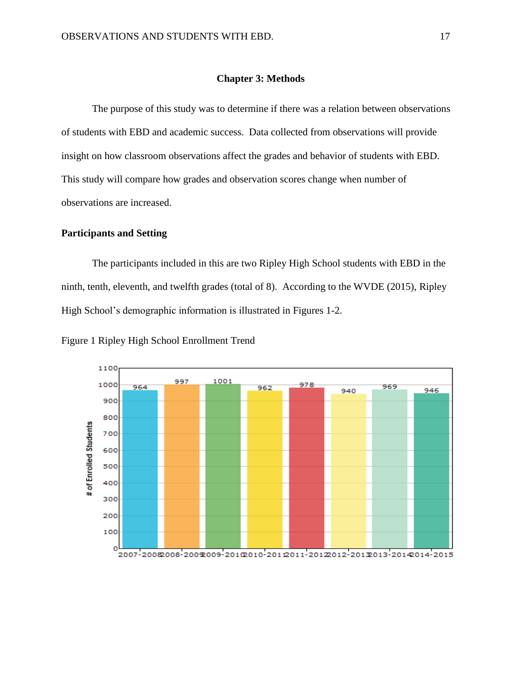## **Chapter 3: Methods**

The purpose of this study was to determine if there was a relation between observations of students with EBD and academic success. Data collected from observations will provide insight on how classroom observations affect the grades and behavior of students with EBD. This study will compare how grades and observation scores change when number of observations are increased.

# **Participants and Setting**

The participants included in this are two Ripley High School students with EBD in the ninth, tenth, eleventh, and twelfth grades (total of 8). According to the WVDE (2015), Ripley High School's demographic information is illustrated in Figures 1-2.



Figure 1 Ripley High School Enrollment Trend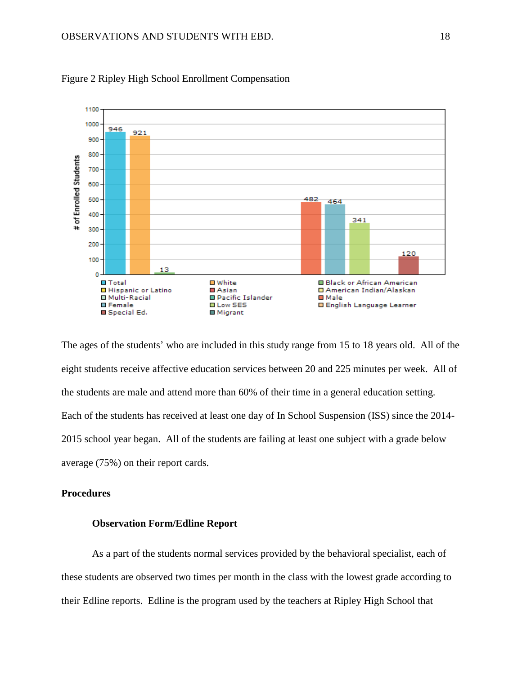



The ages of the students' who are included in this study range from 15 to 18 years old. All of the eight students receive affective education services between 20 and 225 minutes per week. All of the students are male and attend more than 60% of their time in a general education setting. Each of the students has received at least one day of In School Suspension (ISS) since the 2014- 2015 school year began. All of the students are failing at least one subject with a grade below average (75%) on their report cards.

# **Procedures**

## **Observation Form/Edline Report**

As a part of the students normal services provided by the behavioral specialist, each of these students are observed two times per month in the class with the lowest grade according to their Edline reports. Edline is the program used by the teachers at Ripley High School that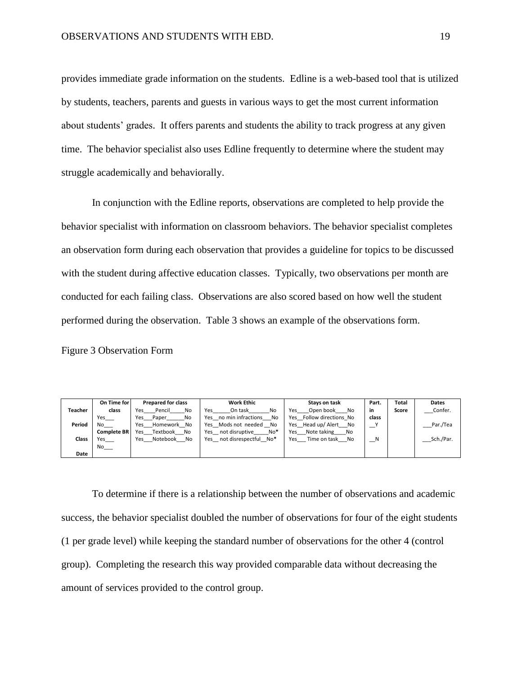provides immediate grade information on the students. Edline is a web-based tool that is utilized by students, teachers, parents and guests in various ways to get the most current information about students' grades. It offers parents and students the ability to track progress at any given time. The behavior specialist also uses Edline frequently to determine where the student may struggle academically and behaviorally.

In conjunction with the Edline reports, observations are completed to help provide the behavior specialist with information on classroom behaviors. The behavior specialist completes an observation form during each observation that provides a guideline for topics to be discussed with the student during affective education classes. Typically, two observations per month are conducted for each failing class. Observations are also scored based on how well the student performed during the observation. Table 3 shows an example of the observations form.

Figure 3 Observation Form

|         | On Time for          | <b>Prepared for class</b> | <b>Work Ethic</b>            | Stavs on task               |       | Total | <b>Dates</b> |
|---------|----------------------|---------------------------|------------------------------|-----------------------------|-------|-------|--------------|
| Teacher | class                | Yes<br>Pencil<br>No       | On task<br>No<br>Yes         | Open book<br>Yes<br>No      | in    | Score | Confer.      |
|         | $Yes$ <sub>___</sub> | Yes<br>No<br>Paper        | Yes no min infractions<br>No | Follow directions No<br>Yes | class |       |              |
| Period  | No                   | Homework No<br>Yes        | Yes Mods not needed<br>No    | Yes Head up/ Alert<br>No    | __    |       | Par./Tea     |
|         | Complete BR          | Textbook<br>No<br>Yes     | Yes not disruptive<br>No*    | Note taking<br>Yes<br>No    |       |       |              |
| Class   | $Yes$ <sub>___</sub> | Notebook<br>Yes<br>No     | Yes not disrespectful No*    | Yes<br>No<br>Time on task   | N     |       | Sch./Par.    |
|         | No                   |                           |                              |                             |       |       |              |
| Date    |                      |                           |                              |                             |       |       |              |

To determine if there is a relationship between the number of observations and academic success, the behavior specialist doubled the number of observations for four of the eight students (1 per grade level) while keeping the standard number of observations for the other 4 (control group). Completing the research this way provided comparable data without decreasing the amount of services provided to the control group.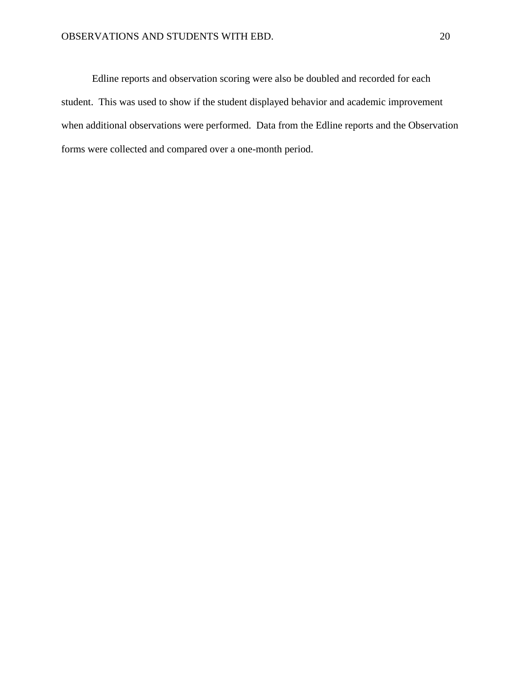Edline reports and observation scoring were also be doubled and recorded for each student. This was used to show if the student displayed behavior and academic improvement when additional observations were performed. Data from the Edline reports and the Observation forms were collected and compared over a one-month period.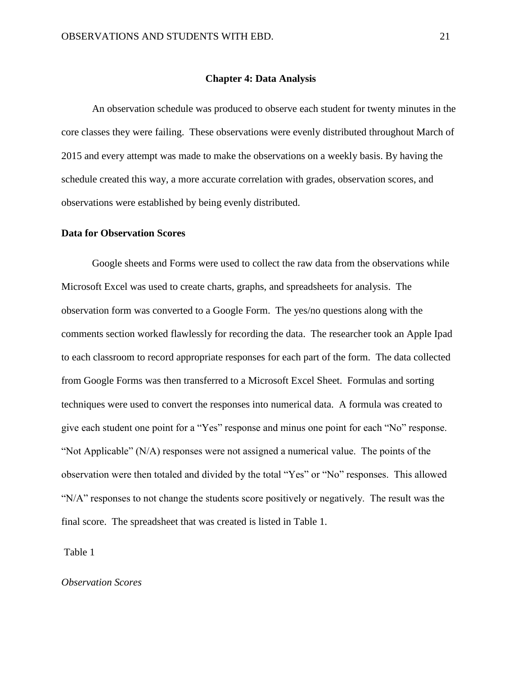#### **Chapter 4: Data Analysis**

An observation schedule was produced to observe each student for twenty minutes in the core classes they were failing. These observations were evenly distributed throughout March of 2015 and every attempt was made to make the observations on a weekly basis. By having the schedule created this way, a more accurate correlation with grades, observation scores, and observations were established by being evenly distributed.

#### **Data for Observation Scores**

Google sheets and Forms were used to collect the raw data from the observations while Microsoft Excel was used to create charts, graphs, and spreadsheets for analysis. The observation form was converted to a Google Form. The yes/no questions along with the comments section worked flawlessly for recording the data. The researcher took an Apple Ipad to each classroom to record appropriate responses for each part of the form. The data collected from Google Forms was then transferred to a Microsoft Excel Sheet. Formulas and sorting techniques were used to convert the responses into numerical data. A formula was created to give each student one point for a "Yes" response and minus one point for each "No" response. "Not Applicable" (N/A) responses were not assigned a numerical value. The points of the observation were then totaled and divided by the total "Yes" or "No" responses. This allowed "N/A" responses to not change the students score positively or negatively. The result was the final score. The spreadsheet that was created is listed in Table 1.

Table 1

# *Observation Scores*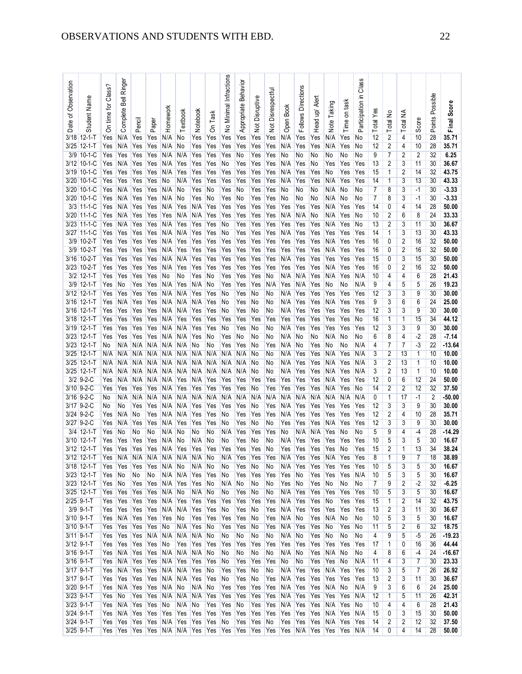| of Observation<br>Date | Student Name                   | Class?<br>ğ<br>time t<br>δ | Ringer<br>Complete Bell | Pencil     | Paper      | Homework   | Textbook    | Notebook   | Task<br>$\delta$ | Minimal Infractions<br>$\tilde{z}$ | <b>Behavior</b><br>Appropriate | Disruptive<br><b>b</b> | Disrespectful<br><b>b</b> | Book<br>Open | s Directions<br>Follow: | up/ Alert<br>Head | Taking<br>Note | on task<br>Time | Class<br>Participation in | Total Yes | Total No       | Total NA            | Score          | Possible<br>Points | Score<br>Final   |
|------------------------|--------------------------------|----------------------------|-------------------------|------------|------------|------------|-------------|------------|------------------|------------------------------------|--------------------------------|------------------------|---------------------------|--------------|-------------------------|-------------------|----------------|-----------------|---------------------------|-----------|----------------|---------------------|----------------|--------------------|------------------|
|                        | $3/18$ 12-1-T                  | Yes                        | N/A                     | Yes        | Yes        | N/A        | No          | Yes        | Yes              | Yes                                | Yes                            | Yes                    | Yes                       | N/A          | Yes                     | Yes               | N/A            | Yes             | No                        | 12        | 2              | 4                   | 10             | 28                 | 35.71            |
|                        | $3/25$ 12-1-T                  | Yes                        | N/A                     | Yes        | Yes        | N/A        | No          | Yes        | Yes              | Yes                                | Yes                            | Yes                    | Yes                       | N/A          | Yes                     | Yes               | N/A            | Yes             | No                        | 12        | $\overline{2}$ | 4                   | 10             | 28                 | 35.71            |
|                        | 3/9 10-1-C                     | Yes                        | Yes                     | Yes        | Yes        | N/A        | N/A         | Yes        | Yes              | Yes                                | No                             | Yes                    | Yes                       | No           | No                      | No                | No             | No              | No                        | 9         | $\overline{7}$ | $\overline{2}$      | $\overline{2}$ | 32                 | 6.25             |
|                        | 3/12 10-1-C                    | Yes                        | N/A                     | Yes        | Yes        | N/A        | Yes         | Yes        | Yes              | No                                 | Yes                            | Yes                    | Yes                       | N/A          | Yes                     | No                | Yes            | Yes             | Yes                       | 13        | $\overline{2}$ | 3                   | 11             | 30                 | 36.67            |
|                        | 3/19 10-1-C<br>3/20 10-1-C     | Yes<br>Yes                 | Yes                     | Yes        | Yes        | N/A        | Yes<br>N/A  | Yes        | Yes              | Yes                                | Yes<br>Yes                     | Yes                    | Yes                       | N/A          | Yes                     | Yes<br>Yes        | No<br>N/A      | Yes             | Yes                       | 15<br>14  | 1<br>1         | $\overline{2}$<br>3 | 14<br>13       | 32<br>30           | 43.75<br>43.33   |
|                        | 3/20 10-1-C                    | Yes                        | Yes<br>N/A              | Yes<br>Yes | Yes<br>Yes | No<br>N/A  | No          | Yes<br>Yes | Yes<br>No        | Yes<br>Yes                         | No                             | Yes<br>Yes             | Yes<br>Yes                | N/A<br>No    | Yes<br>No               | No                | N/A            | Yes<br>No       | Yes<br>No                 | 7         | 8              | 3                   | -1             | 30                 | $-3.33$          |
|                        | 3/20 10-1-C                    | Yes                        | N/A                     | Yes        | Yes        | N/A        | No          | Yes        | No               | Yes                                | No                             | Yes                    | Yes                       | No           | No                      | No                | N/A            | No              | No                        | 7         | 8              | 3                   | $-1$           | 30                 | $-3.33$          |
|                        | $3/3$ 11-1-C                   | Yes                        | N/A                     | Yes        | Yes        | N/A        | Yes         | N/A        | Yes              | Yes                                | Yes                            | Yes                    | Yes                       | Yes          | Yes                     | Yes               | N/A            | Yes             | Yes                       | 14        | 0              | 4                   | 14             | 28                 | 50.00            |
|                        | 3/20 11-1-C                    | Yes                        | N/A                     | Yes        | Yes        | Yes        | N/A         | N/A        | Yes              | Yes                                | Yes                            | Yes                    | Yes                       | N/A          | N/A                     | No                | N/A            | Yes             | No                        | 10        | 2              | 6                   | 8              | 24                 | 33.33            |
|                        | 3/23 11-1-C                    | Yes                        | N/A                     | Yes        | Yes        | N/A        | Yes         | Yes        | Yes              | No                                 | Yes                            | Yes                    | Yes                       | Yes          | Yes                     | Yes               | N/A            | Yes             | No                        | 13        | $\overline{2}$ | 3                   | 11             | 30                 | 36.67            |
|                        | 3/27   11-1-C                  | Yes                        | Yes                     | Yes        | Yes        | N/A        | N/A         | Yes        | Yes              | No                                 | Yes                            | Yes                    | Yes                       | N/A          | Yes                     | Yes               | Yes            | Yes             | Yes                       | 14        | 1              | 3                   | 13             | 30                 | 43.33            |
|                        | $3/9$ 10-2-T                   | Yes                        | Yes                     | Yes        | Yes        | N/A        | Yes         | Yes        | Yes              | Yes                                | Yes                            | Yes                    | Yes                       | Yes          | Yes                     | Yes               | N/A            | Yes             | Yes                       | 16        | 0              | $\overline{2}$      | 16             | 32                 | 50.00            |
|                        | 3/9 10-2-T                     | Yes                        | Yes                     | Yes        | Yes        | N/A        | Yes         | Yes        | Yes              | Yes                                | Yes                            | Yes                    | Yes                       | Yes          | Yes                     | Yes               | N/A            | Yes             | Yes                       | 16        | 0              | $\overline{2}$      | 16             | 32                 | 50.00            |
|                        | 3/16 10-2-T                    | Yes                        | Yes                     | Yes        | Yes        | N/A        | N/A         | Yes        | Yes              | Yes                                | Yes                            | Yes                    | Yes                       | N/A          | Yes                     | Yes               | Yes            | Yes             | Yes                       | 15        | 0              | 3                   | 15             | 30                 | 50.00            |
|                        | 3/23 10-2-T                    | Yes                        | Yes                     | Yes        | Yes        | N/A        | Yes         | Yes        | Yes              | Yes                                | Yes                            | Yes                    | Yes                       | Yes          | Yes                     | Yes               | N/A            | Yes             | Yes                       | 16        | 0              | 2                   | 16             | 32                 | 50.00            |
|                        | $3/2$ 12-1-T<br>3/9 12-1-T     | Yes                        | Yes                     | Yes        | Yes        | No         | No          | Yes        | No               | Yes                                | Yes                            | Yes                    | No                        | N/A          | N/A                     | Yes               | N/A            | Yes             | N/A                       | 10        | 4              | 4                   | 6              | 28                 | 21.43            |
|                        | $3/12$ 12-1-T                  | Yes<br>Yes                 | No<br>Yes               | Yes<br>Yes | Yes<br>Yes | N/A<br>N/A | Yes<br>N/A  | N/A<br>Yes | No<br>Yes        | Yes<br>No                          | Yes<br>Yes                     | Yes<br>No              | N/A<br>No                 | Yes<br>N/A   | N/A<br>Yes              | Yes<br>Yes        | No<br>Yes      | No<br>Yes       | N/A<br>Yes                | 9<br>12   | 4<br>3         | 5<br>3              | 5<br>9         | 26<br>30           | 19.23<br>30.00   |
|                        | $3/16$ 12-1-T                  | Yes                        | N/A                     | Yes        | Yes        | N/A        | N/A         | N/A        | Yes              | No                                 | Yes                            | No                     | No                        | N/A          | Yes                     | Yes               | N/A            | Yes             | Yes                       | 9         | 3              | 6                   | 6              | 24                 | 25.00            |
|                        | $3/16$ 12-1-T                  | Yes                        | Yes                     | Yes        | Yes        | N/A        | N/A         | Yes        | Yes              | No                                 | Yes                            | No                     | No                        | N/A          | Yes                     | Yes               | Yes            | Yes             | Yes                       | 12        | 3              | 3                   | 9              | 30                 | 30.00            |
|                        | $3/18$ 12-1-T                  | Yes                        | Yes                     | Yes        | Yes        | N/A        | Yes         | Yes        | Yes              | Yes                                | Yes                            | Yes                    | Yes                       | Yes          | Yes                     | Yes               | Yes            | Yes             | No                        | 16        | $\overline{1}$ | 1                   | 15             | 34                 | 44.12            |
|                        | $3/19$ 12-1-T                  | Yes                        | Yes                     | Yes        | Yes        | N/A        | N/A         | Yes        | Yes              | No                                 | Yes                            | No                     | No                        | N/A          | Yes                     | Yes               | Yes            | Yes             | Yes                       | 12        | 3              | 3                   | 9              | 30                 | 30.00            |
|                        | $3/23$ 12-1-T                  | Yes                        | Yes                     | Yes        | Yes        | N/A        | N/A         | Yes        | No               | Yes                                | No                             | No                     | No                        | N/A          | No                      | No                | N/A            | No              | No                        | 6         | 8              | 4                   | $-2$           | 28                 | $-7.14$          |
|                        | $3/23$ 12-1-T                  | No                         | N/A                     | N/A        | N/A        | N/A        | N/A         | No         | No               | Yes                                | Yes                            | No                     | Yes                       | N/A          | No                      | Yes               | No             | No              | N/A                       | 4         | 7              | 7                   | $-3$           | 22                 | -13.64           |
|                        | $3/25$ 12-1-T                  | N/A                        | N/A                     | N/A        | N/A        | N/A        | N/A         | N/A        | N/A              | N/A                                | N/A                            | No                     | No                        | N/A          | Yes                     | Yes               | N/A            | Yes             | N/A                       | 3         | $\overline{2}$ | 13                  | 1              | 10                 | 10.00            |
|                        | $3/25$ 12-1-T                  | N/A                        | N/A                     | N/A        | N/A        | N/A        | N/A         | N/A        | N/A              | N/A                                | N/A                            | No                     | No                        | N/A          | Yes                     | Yes               | N/A            | Yes             | N/A                       | 3         | 2              | 13                  | 1              | 10                 | 10.00            |
|                        | $3/25$ 12-1-T                  | N/A                        | N/A                     | N/A        | N/A        | N/A        | N/A         | N/A        | N/A              | N/A                                | N/A                            | No                     | No                        | N/A          | Yes                     | Yes               | N/A            | Yes             | N/A                       | 3         | 2              | 13                  | 1              | 10                 | 10.00            |
|                        | 3/2 9-2-C<br>3/10 9-2-C        | Yes                        | N/A                     | N/A        | N/A        | N/A        | Yes         | N/A        | Yes              | Yes                                | Yes                            | Yes                    | Yes                       | Yes          | Yes                     | Yes               | N/A            | Yes             | Yes                       | 12        | 0              | 6                   | 12             | 24                 | 50.00            |
|                        | 3/16 9-2-C                     | Yes<br>No                  | Yes<br>N/A              | Yes<br>N/A | Yes<br>N/A | N/A<br>N/A | Yes<br>N/A  | Yes<br>N/A | Yes<br>N/A       | Yes<br>N/A                         | Yes<br>N/A                     | No<br>N/A              | Yes<br>N/A                | Yes<br>N/A   | Yes<br>N/A              | Yes<br>N/A        | N/A<br>N/A     | Yes<br>N/A      | No<br>N/A                 | 14<br>0   | 2<br>1         | 2<br>17             | 12<br>$-1$     | 32<br>2            | 37.50<br>-50.00  |
|                        | 3/17 9-2-C                     | No                         | No                      | Yes        | Yes        | N/A        | N/A         | Yes        | Yes              | Yes                                | Yes                            | No                     | Yes                       | N/A          | Yes                     | Yes               | Yes            | Yes             | Yes                       | 12        | 3              | 3                   | 9              | 30                 | 30.00            |
|                        | 3/24 9-2-C                     | Yes                        | N/A                     | No         | Yes        | N/A        | N/A         | Yes        | Yes              | No                                 | Yes                            | Yes                    | Yes                       | N/A          | Yes                     | Yes               | Yes            | Yes             | Yes                       | 12        | $\overline{2}$ | 4                   | 10             | 28                 | 35.71            |
|                        | 3/27 9-2-C                     | Yes                        | N/A                     | Yes        | Yes        | N/A        | Yes         | Yes        | Yes              | No                                 | Yes                            | No                     | No                        | Yes          | Yes                     | Yes               | N/A            | Yes             | Yes                       | 12        | 3              | 3                   | $\overline{9}$ | 30                 | 30.00            |
|                        | $3/4$ 12-1-T                   | Yes                        | No                      | No         | No         | N/A        | No          | No         | No               | N/A                                | Yes                            | Yes                    | Yes                       | No           | N/A                     | N/A               | Yes            | No              | No                        | 5         | 9              | 4                   | $-4$           | 28                 | -14.29           |
|                        | 3/10 12-1-T                    | Yes                        | Yes                     | Yes        | Yes        | N/A        | No          | N/A        | No               | No                                 | Yes                            | No                     | No                        | N/A          | Yes                     | Yes               | Yes            | Yes             | Yes                       | 10        | 5              | 3                   | 5              | 30                 | 16.67            |
|                        | $3/12$ 12-1-T                  | Yes                        | Yes                     | Yes        | Yes        | N/A        | Yes         | Yes        | Yes              | Yes                                | Yes                            | Yes                    | No                        | Yes          | Yes                     | Yes               | Yes            | No              | Yes                       | 15        | 2              |                     | 13             | 34                 | 38.24            |
|                        | $3/12$ 12-1-T                  | Yes                        | N/A                     | N/A        | N/A        | N/A        | N/A         | N/A        | <b>No</b>        | N/A                                | Yes                            | Yes                    | Yes                       | N/A          | Yes                     | Yes               | N/A            | Yes             | Yes                       | 8         |                | 9                   | $\prime$       | 18                 | 38.89            |
|                        | $3/18$ 12-1-T                  | Yes                        | Yes                     | Yes        | Yes        | N/A        | No          | N/A        | No               | No                                 | Yes                            | No                     | No                        | N/A          | Yes                     | Yes               | Yes            | Yes             | Yes                       | 10        | 5              | 3                   | 5              | 30                 | 16.67            |
|                        | $3/23$ 12-1-T<br>$3/23$ 12-1-T | Yes<br>Yes                 | No<br>No                | No<br>Yes  | No<br>Yes  | N/A<br>N/A | N/A<br>Yes  | Yes<br>Yes | Yes<br>No        | No<br>N/A                          | Yes<br>No                      | Yes<br>No              | Yes<br>No                 | Yes<br>Yes   | No<br>No                | Yes<br>Yes        | Yes<br>No      | Yes<br>No       | N/A<br>No                 | 10<br>7   | 5<br>9         | 3<br>2              | 5<br>$-2$      | 30<br>32           | 16.67<br>$-6.25$ |
|                        | 3/25 12-1-T                    | Yes                        | Yes                     | Yes        | Yes        | N/A        | No          | N/A        | No               | No                                 | Yes                            | No                     | No                        | N/A          | Yes                     | Yes               | Yes            | Yes             | Yes                       | 10        | 5              | 3                   | 5              | 30                 | 16.67            |
|                        | $2/25$ 9-1-T                   | Yes                        | Yes                     | Yes        | Yes        | N/A        | Yes         | Yes        | Yes              | Yes                                | Yes                            | Yes                    | Yes                       | N/A          | Yes                     | Yes               | No             | Yes             | Yes                       | 15        | 1              | 2                   | 14             | 32                 | 43.75            |
|                        | $3/9$ 9-1-T                    | Yes                        | Yes                     | Yes        | Yes        | N/A        | N/A         | Yes        | Yes              | No                                 | Yes                            | No                     | Yes                       | N/A Yes      |                         | Yes               | Yes            | Yes             | Yes                       | 13        | 2              | 3                   | 11             | 30                 | 36.67            |
|                        | $3/10$ 9-1-T                   | Yes                        | N/A                     | Yes        | Yes        | Yes        | No          | Yes        | Yes              | Yes                                | Yes                            | No                     | Yes                       | N/A No       |                         | Yes               | N/A            | No              | No                        | 10        | 5              | 3                   | 5              | 30                 | 16.67            |
|                        | $3/10$ 9-1-T                   | Yes                        | Yes                     | Yes        | Yes        | No         | N/A         | Yes        | No               | Yes                                | Yes                            | No                     | Yes                       | N/A          | Yes                     | Yes               | No             | Yes             | No                        | 11        | 5              | 2                   | 6              | 32                 | 18.75            |
|                        | $3/11$ 9-1-T                   | Yes                        | Yes                     | Yes        | N/A        | N/A        | $N/A$ $N/A$ |            | No               | No                                 | No                             | No                     | No                        | N/A          | N <sub>0</sub>          | Yes               | No             | No              | No                        | 4         | 9              | 5                   | -5             | 26                 | $-19.23$         |
|                        | $3/12$ 9-1-T                   | Yes                        | Yes                     | Yes        | Yes        | No         | Yes         | Yes        | Yes              | Yes                                | Yes                            | Yes                    | Yes                       | Yes          | Yes                     | Yes               | Yes            | Yes             | Yes                       | 17        | 1              | 0                   | 16             | 36                 | 44.44            |
|                        | $3/16$ 9-1-T                   | Yes                        | N/A Yes                 |            | Yes        | N/A        | $N/A$ $N/A$ |            | No               | No                                 | No                             | No                     | No                        | N/A          | No                      | Yes               | N/A            | No              | No                        | 4         | 8              | 6                   | -4             | 24                 | $-16.67$         |
|                        | $3/16$ 9-1-T<br>$3/17$ 9-1-T   | Yes                        | N/A Yes                 |            | Yes        | N/A        | Yes         | Yes        | Yes              | No                                 | Yes                            | Yes                    | Yes                       | No           | No                      | Yes               | Yes            | No              | N/A                       | 11        | 4<br>3         | 3                   | 7              | 30                 | 23.33<br>26.92   |
|                        | $3/17$ 9-1-T                   | Yes<br>Yes                 | N/A<br>Yes              | Yes<br>Yes | Yes<br>Yes | N/A<br>N/A | N/A<br>N/A  | Yes<br>Yes | No<br>Yes        | Yes<br>No                          | Yes<br>Yes                     | No<br>No               | No<br>Yes                 | N/A<br>N/A   | Yes<br>Yes              | Yes<br>Yes        | N/A<br>Yes     | Yes<br>Yes      | Yes<br>Yes                | 10<br>13  | 2              | 5<br>3              | 7<br>11        | 26<br>30           | 36.67            |
|                        | $3/20$ 9-1-T                   | Yes                        | N/A                     | Yes        | Yes        | N/A        | No          | N/A        | No               | Yes                                | Yes                            | Yes                    | Yes                       | N/A          | Yes                     | Yes               | N/A            | No              | N/A                       | 9         | 3              | 6                   | 6              | 24                 | 25.00            |
|                        | $3/23$ 9-1-T                   | Yes                        | No                      | Yes        | Yes        | N/A        | N/A         | N/A        | Yes              | Yes                                | Yes                            | Yes                    | Yes                       | N/A          | Yes                     | Yes               | Yes            | Yes             | N/A                       | 12        | 1              | 5                   | 11             | 26                 | 42.31            |
|                        | $3/23$ 9-1-T                   | Yes                        | N/A                     | Yes        | Yes        | No         | N/A No      |            | Yes              | Yes                                | No                             | Yes                    | Yes                       | N/A          | Yes                     | Yes               | N/A            | Yes             | No                        | 10        | 4              | 4                   | 6              | 28                 | 21.43            |
|                        | $3/24$ 9-1-T                   | Yes                        | N/A                     | Yes        | Yes        | Yes        | Yes         | Yes        | Yes              | Yes                                | Yes                            | Yes                    | Yes                       | Yes          | Yes                     | Yes               | N/A            | Yes             | N/A                       | 15        | 0              | 3                   | 15             | 30                 | 50.00            |
|                        | $3/24$ 9-1-T                   | Yes                        | Yes                     | Yes        | Yes        | N/A        | Yes         | Yes        | Yes              | No                                 | Yes                            | Yes                    | No                        | Yes          | Yes                     | Yes               | N/A            | Yes             | Yes                       | 14        | 2              | 2                   | 12             | 32                 | 37.50            |
|                        | $3/25$ 9-1-T                   | Yes                        | Yes                     | Yes        | Yes        |            | N/A N/A Yes |            | Yes              | <b>Yes</b>                         | Yes                            | Yes                    | Yes                       | Yes          | N/A Yes                 |                   | Yes            | Yes             | N/A                       | 14        | 0              | 4                   | 14             | 28                 | 50.00            |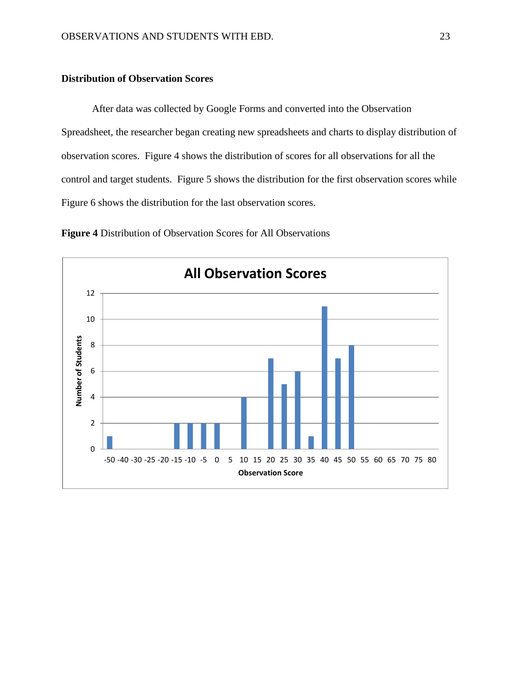# **Distribution of Observation Scores**

After data was collected by Google Forms and converted into the Observation Spreadsheet, the researcher began creating new spreadsheets and charts to display distribution of observation scores. Figure 4 shows the distribution of scores for all observations for all the control and target students. Figure 5 shows the distribution for the first observation scores while Figure 6 shows the distribution for the last observation scores.



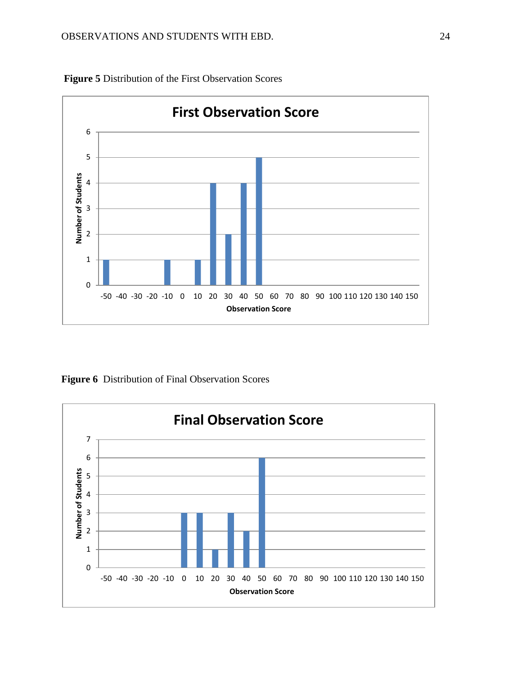

**Figure 5** Distribution of the First Observation Scores

**Figure 6** Distribution of Final Observation Scores

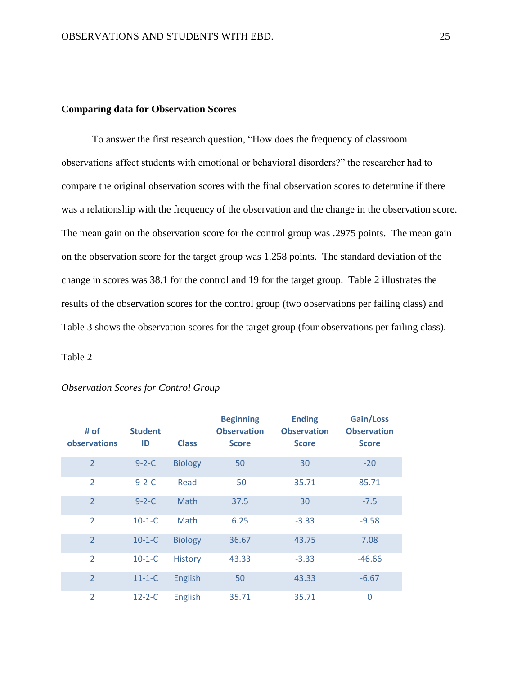# **Comparing data for Observation Scores**

To answer the first research question, "How does the frequency of classroom observations affect students with emotional or behavioral disorders?" the researcher had to compare the original observation scores with the final observation scores to determine if there was a relationship with the frequency of the observation and the change in the observation score. The mean gain on the observation score for the control group was .2975 points. The mean gain on the observation score for the target group was 1.258 points. The standard deviation of the change in scores was 38.1 for the control and 19 for the target group. Table 2 illustrates the results of the observation scores for the control group (two observations per failing class) and Table 3 shows the observation scores for the target group (four observations per failing class).

# Table 2

| # of<br>observations | <b>Student</b><br>ID | <b>Class</b>   | <b>Beginning</b><br><b>Observation</b><br><b>Score</b> | <b>Ending</b><br><b>Observation</b><br><b>Score</b> | Gain/Loss<br><b>Observation</b><br><b>Score</b> |
|----------------------|----------------------|----------------|--------------------------------------------------------|-----------------------------------------------------|-------------------------------------------------|
| $\overline{2}$       | $9 - 2 - C$          | <b>Biology</b> | 50                                                     | 30                                                  | $-20$                                           |
| $\overline{2}$       | $9 - 2 - C$          | Read           | $-50$                                                  | 35.71                                               | 85.71                                           |
| $\overline{2}$       | $9 - 2 - C$          | Math           | 37.5                                                   | 30                                                  | $-7.5$                                          |
| $\overline{2}$       | $10 - 1 - C$         | Math           | 6.25                                                   | $-3.33$                                             | $-9.58$                                         |
| $\overline{2}$       | $10 - 1 - C$         | <b>Biology</b> | 36.67                                                  | 43.75                                               | 7.08                                            |
| $\overline{2}$       | $10 - 1 - C$         | <b>History</b> | 43.33                                                  | $-3.33$                                             | $-46.66$                                        |
| $\overline{2}$       | $11 - 1 - C$         | English        | 50                                                     | 43.33                                               | $-6.67$                                         |
| $\overline{2}$       | $12 - 2 - C$         | <b>English</b> | 35.71                                                  | 35.71                                               | $\overline{0}$                                  |

#### *Observation Scores for Control Group*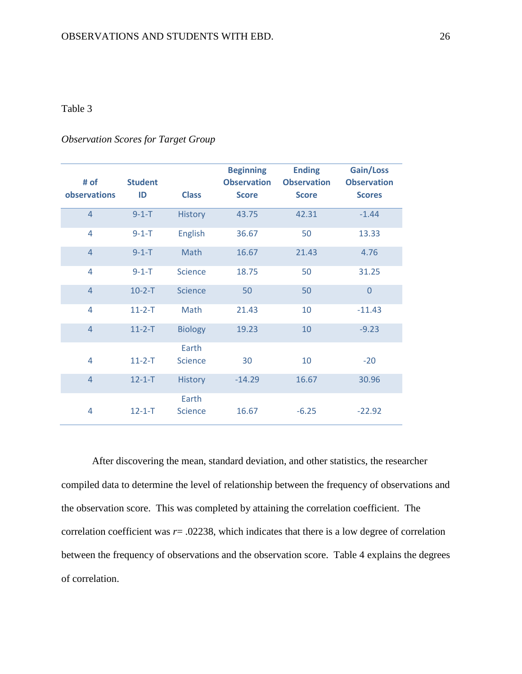# Table 3

# *Observation Scores for Target Group*

| # of<br>observations | <b>Student</b><br>ID | <b>Class</b>            | <b>Beginning</b><br><b>Observation</b><br><b>Score</b> | <b>Ending</b><br><b>Observation</b><br><b>Score</b> | Gain/Loss<br><b>Observation</b><br><b>Scores</b> |
|----------------------|----------------------|-------------------------|--------------------------------------------------------|-----------------------------------------------------|--------------------------------------------------|
| $\overline{4}$       | $9 - 1 - T$          | <b>History</b>          | 43.75                                                  | 42.31                                               | $-1.44$                                          |
| $\overline{4}$       | $9 - 1 - T$          | English                 | 36.67                                                  | 50                                                  | 13.33                                            |
| $\overline{4}$       | $9 - 1 - T$          | Math                    | 16.67                                                  | 21.43                                               | 4.76                                             |
| $\overline{4}$       | $9 - 1 - T$          | <b>Science</b>          | 18.75                                                  | 50                                                  | 31.25                                            |
| $\overline{4}$       | $10-2-T$             | <b>Science</b>          | 50                                                     | 50                                                  | $\overline{0}$                                   |
| $\overline{4}$       | $11 - 2 - T$         | Math                    | 21.43                                                  | 10                                                  | $-11.43$                                         |
| $\overline{4}$       | $11 - 2 - T$         | <b>Biology</b>          | 19.23                                                  | 10                                                  | $-9.23$                                          |
|                      |                      | Earth                   |                                                        |                                                     |                                                  |
| 4                    | $11 - 2 - T$         | <b>Science</b>          | 30                                                     | 10                                                  | $-20$                                            |
| $\overline{4}$       | $12 - 1 - T$         | <b>History</b>          | $-14.29$                                               | 16.67                                               | 30.96                                            |
| 4                    | $12 - 1 - T$         | Earth<br><b>Science</b> | 16.67                                                  | $-6.25$                                             | $-22.92$                                         |

After discovering the mean, standard deviation, and other statistics, the researcher compiled data to determine the level of relationship between the frequency of observations and the observation score. This was completed by attaining the correlation coefficient. The correlation coefficient was  $r = .02238$ , which indicates that there is a low degree of correlation between the frequency of observations and the observation score. Table 4 explains the degrees of correlation.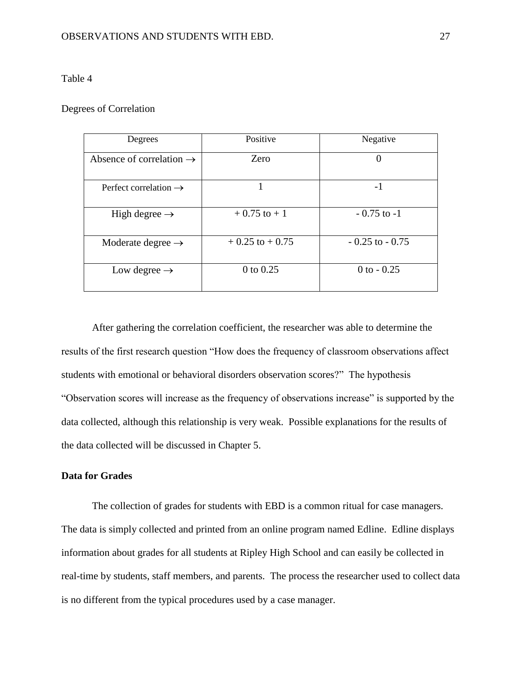#### Table 4

# Degrees of Correlation

| Degrees                              | Positive           | Negative           |
|--------------------------------------|--------------------|--------------------|
| Absence of correlation $\rightarrow$ | Zero               | $\Omega$           |
| Perfect correlation $\rightarrow$    |                    | $-1$               |
| High degree $\rightarrow$            | $+0.75$ to $+1$    | $-0.75$ to $-1$    |
| Moderate degree $\rightarrow$        | $+0.25$ to $+0.75$ | $-0.25$ to $-0.75$ |
| Low degree $\rightarrow$             | 0 to 0.25          | 0 to $-0.25$       |

After gathering the correlation coefficient, the researcher was able to determine the results of the first research question "How does the frequency of classroom observations affect students with emotional or behavioral disorders observation scores?" The hypothesis "Observation scores will increase as the frequency of observations increase" is supported by the data collected, although this relationship is very weak. Possible explanations for the results of the data collected will be discussed in Chapter 5.

# **Data for Grades**

The collection of grades for students with EBD is a common ritual for case managers. The data is simply collected and printed from an online program named Edline. Edline displays information about grades for all students at Ripley High School and can easily be collected in real-time by students, staff members, and parents. The process the researcher used to collect data is no different from the typical procedures used by a case manager.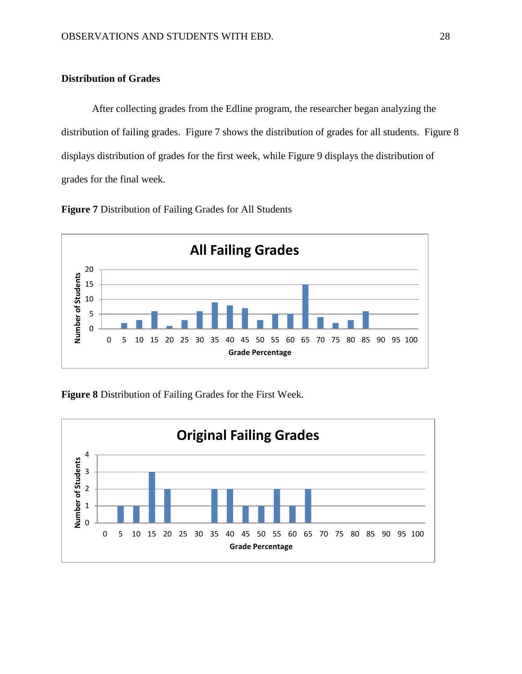# **Distribution of Grades**

After collecting grades from the Edline program, the researcher began analyzing the distribution of failing grades. Figure 7 shows the distribution of grades for all students. Figure 8 displays distribution of grades for the first week, while Figure 9 displays the distribution of grades for the final week.





**Figure 8** Distribution of Failing Grades for the First Week.

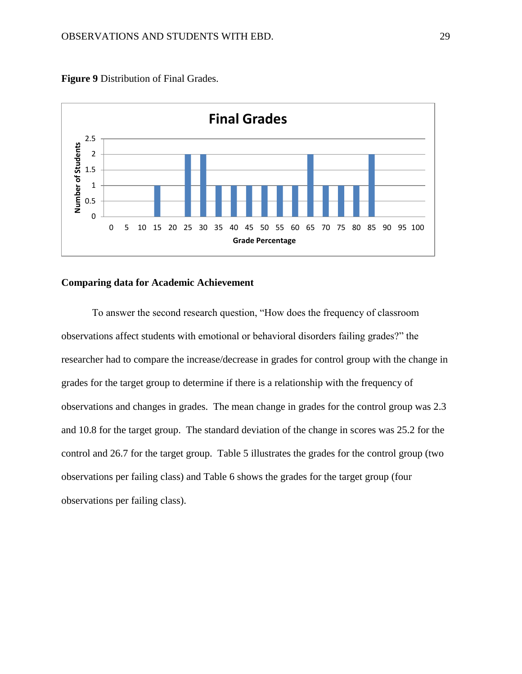

**Figure 9** Distribution of Final Grades.

# **Comparing data for Academic Achievement**

To answer the second research question, "How does the frequency of classroom observations affect students with emotional or behavioral disorders failing grades?" the researcher had to compare the increase/decrease in grades for control group with the change in grades for the target group to determine if there is a relationship with the frequency of observations and changes in grades. The mean change in grades for the control group was 2.3 and 10.8 for the target group. The standard deviation of the change in scores was 25.2 for the control and 26.7 for the target group. Table 5 illustrates the grades for the control group (two observations per failing class) and Table 6 shows the grades for the target group (four observations per failing class).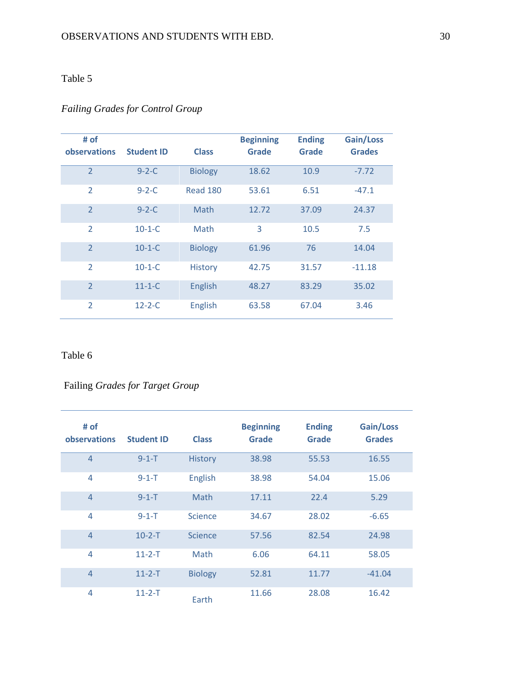# Table 5

# *Failing Grades for Control Group*

| # of<br>observations | <b>Student ID</b> | <b>Class</b>    | <b>Beginning</b><br><b>Grade</b> | <b>Ending</b><br>Grade | Gain/Loss<br><b>Grades</b> |
|----------------------|-------------------|-----------------|----------------------------------|------------------------|----------------------------|
| $\overline{2}$       | $9 - 2 - C$       | <b>Biology</b>  | 18.62                            | 10.9                   | $-7.72$                    |
| $\overline{2}$       | $9 - 2 - C$       | <b>Read 180</b> | 53.61                            | 6.51                   | $-47.1$                    |
| $\overline{2}$       | $9 - 2 - C$       | Math            | 12.72                            | 37.09                  | 24.37                      |
| $\overline{2}$       | $10 - 1 - C$      | Math            | 3                                | 10.5                   | 7.5                        |
| $\overline{2}$       | $10 - 1 - C$      | <b>Biology</b>  | 61.96                            | 76                     | 14.04                      |
| $\overline{2}$       | $10 - 1 - C$      | <b>History</b>  | 42.75                            | 31.57                  | $-11.18$                   |
| $\overline{2}$       | $11 - 1 - C$      | <b>English</b>  | 48.27                            | 83.29                  | 35.02                      |
| $\overline{2}$       | $12 - 2 - C$      | <b>English</b>  | 63.58                            | 67.04                  | 3.46                       |

Table 6

# Failing *Grades for Target Group*

| # of<br>observations | <b>Student ID</b> | <b>Class</b>   | <b>Beginning</b><br>Grade | <b>Ending</b><br><b>Grade</b> | Gain/Loss<br><b>Grades</b> |
|----------------------|-------------------|----------------|---------------------------|-------------------------------|----------------------------|
| $\overline{4}$       | $9 - 1 - T$       | <b>History</b> | 38.98                     | 55.53                         | 16.55                      |
| 4                    | $9 - 1 - T$       | <b>English</b> | 38.98                     | 54.04                         | 15.06                      |
| $\overline{4}$       | $9 - 1 - T$       | Math           | 17.11                     | 22.4                          | 5.29                       |
| $\overline{4}$       | $9 - 1 - T$       | <b>Science</b> | 34.67                     | 28.02                         | $-6.65$                    |
| $\overline{4}$       | $10-2-T$          | Science        | 57.56                     | 82.54                         | 24.98                      |
| 4                    | $11 - 2 - T$      | Math           | 6.06                      | 64.11                         | 58.05                      |
| $\overline{4}$       | $11 - 2 - T$      | <b>Biology</b> | 52.81                     | 11.77                         | $-41.04$                   |
| 4                    | $11 - 2 - T$      | Earth          | 11.66                     | 28.08                         | 16.42                      |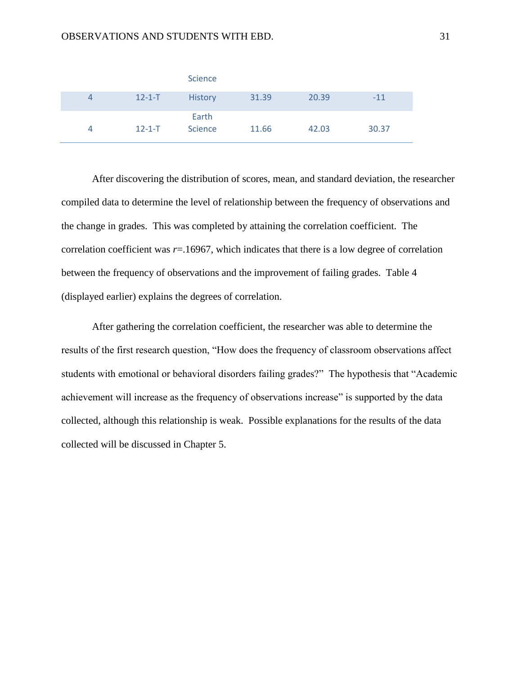|   |              | <b>Science</b>   |       |       |       |
|---|--------------|------------------|-------|-------|-------|
| 4 | $12 - 1 - T$ | <b>History</b>   | 31.39 | 20.39 | $-11$ |
| 4 | $12 - 1 - T$ | Earth<br>Science | 11.66 | 42.03 | 30.37 |

After discovering the distribution of scores, mean, and standard deviation, the researcher compiled data to determine the level of relationship between the frequency of observations and the change in grades. This was completed by attaining the correlation coefficient. The correlation coefficient was  $r=16967$ , which indicates that there is a low degree of correlation between the frequency of observations and the improvement of failing grades. Table 4 (displayed earlier) explains the degrees of correlation.

After gathering the correlation coefficient, the researcher was able to determine the results of the first research question, "How does the frequency of classroom observations affect students with emotional or behavioral disorders failing grades?" The hypothesis that "Academic achievement will increase as the frequency of observations increase" is supported by the data collected, although this relationship is weak. Possible explanations for the results of the data collected will be discussed in Chapter 5.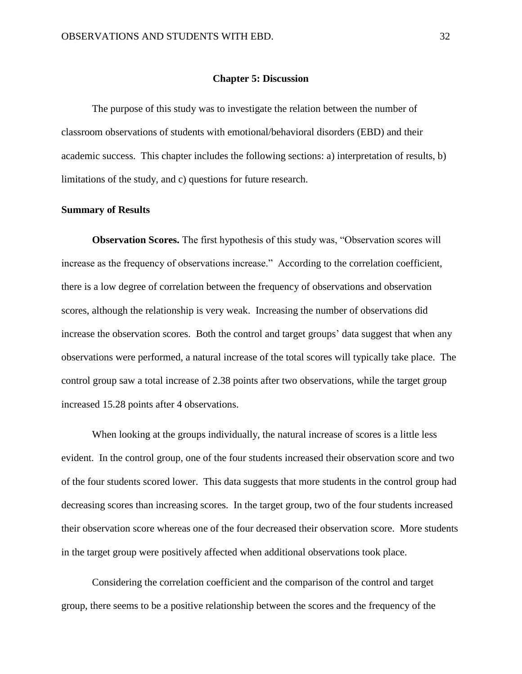#### **Chapter 5: Discussion**

The purpose of this study was to investigate the relation between the number of classroom observations of students with emotional/behavioral disorders (EBD) and their academic success. This chapter includes the following sections: a) interpretation of results, b) limitations of the study, and c) questions for future research.

#### **Summary of Results**

**Observation Scores.** The first hypothesis of this study was, "Observation scores will increase as the frequency of observations increase." According to the correlation coefficient, there is a low degree of correlation between the frequency of observations and observation scores, although the relationship is very weak. Increasing the number of observations did increase the observation scores. Both the control and target groups' data suggest that when any observations were performed, a natural increase of the total scores will typically take place. The control group saw a total increase of 2.38 points after two observations, while the target group increased 15.28 points after 4 observations.

When looking at the groups individually, the natural increase of scores is a little less evident. In the control group, one of the four students increased their observation score and two of the four students scored lower. This data suggests that more students in the control group had decreasing scores than increasing scores. In the target group, two of the four students increased their observation score whereas one of the four decreased their observation score. More students in the target group were positively affected when additional observations took place.

Considering the correlation coefficient and the comparison of the control and target group, there seems to be a positive relationship between the scores and the frequency of the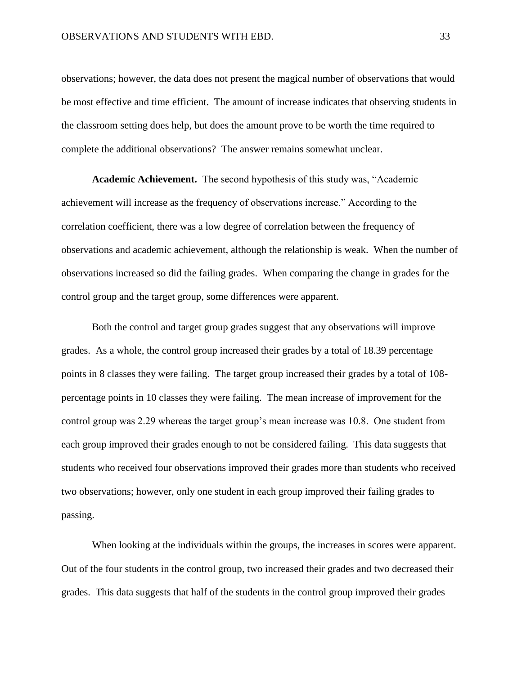observations; however, the data does not present the magical number of observations that would be most effective and time efficient. The amount of increase indicates that observing students in the classroom setting does help, but does the amount prove to be worth the time required to complete the additional observations? The answer remains somewhat unclear.

**Academic Achievement.** The second hypothesis of this study was, "Academic achievement will increase as the frequency of observations increase." According to the correlation coefficient, there was a low degree of correlation between the frequency of observations and academic achievement, although the relationship is weak. When the number of observations increased so did the failing grades. When comparing the change in grades for the control group and the target group, some differences were apparent.

Both the control and target group grades suggest that any observations will improve grades. As a whole, the control group increased their grades by a total of 18.39 percentage points in 8 classes they were failing. The target group increased their grades by a total of 108 percentage points in 10 classes they were failing. The mean increase of improvement for the control group was 2.29 whereas the target group's mean increase was 10.8. One student from each group improved their grades enough to not be considered failing. This data suggests that students who received four observations improved their grades more than students who received two observations; however, only one student in each group improved their failing grades to passing.

When looking at the individuals within the groups, the increases in scores were apparent. Out of the four students in the control group, two increased their grades and two decreased their grades. This data suggests that half of the students in the control group improved their grades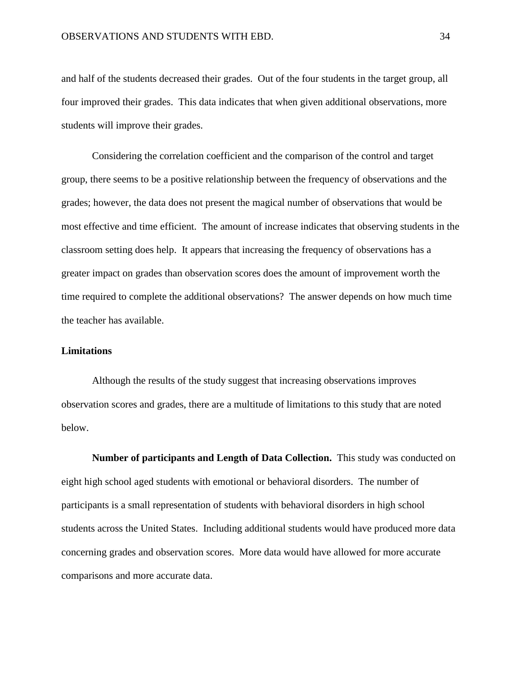and half of the students decreased their grades. Out of the four students in the target group, all four improved their grades. This data indicates that when given additional observations, more students will improve their grades.

Considering the correlation coefficient and the comparison of the control and target group, there seems to be a positive relationship between the frequency of observations and the grades; however, the data does not present the magical number of observations that would be most effective and time efficient. The amount of increase indicates that observing students in the classroom setting does help. It appears that increasing the frequency of observations has a greater impact on grades than observation scores does the amount of improvement worth the time required to complete the additional observations? The answer depends on how much time the teacher has available.

## **Limitations**

Although the results of the study suggest that increasing observations improves observation scores and grades, there are a multitude of limitations to this study that are noted below.

**Number of participants and Length of Data Collection.** This study was conducted on eight high school aged students with emotional or behavioral disorders. The number of participants is a small representation of students with behavioral disorders in high school students across the United States. Including additional students would have produced more data concerning grades and observation scores. More data would have allowed for more accurate comparisons and more accurate data.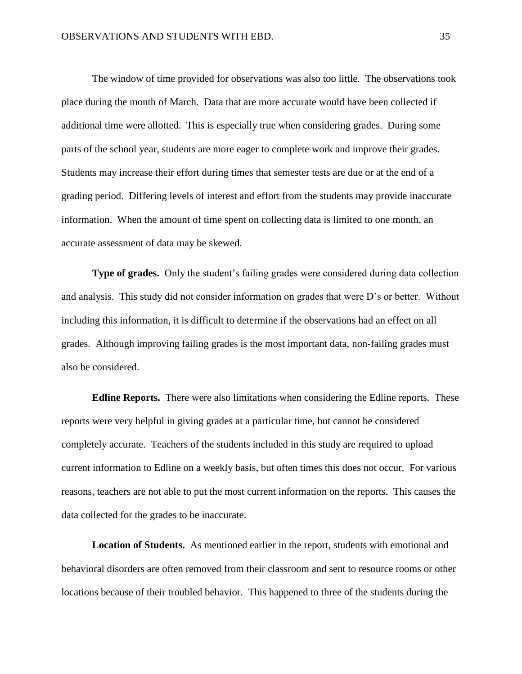The window of time provided for observations was also too little. The observations took place during the month of March. Data that are more accurate would have been collected if additional time were allotted. This is especially true when considering grades. During some parts of the school year, students are more eager to complete work and improve their grades. Students may increase their effort during times that semester tests are due or at the end of a grading period. Differing levels of interest and effort from the students may provide inaccurate information. When the amount of time spent on collecting data is limited to one month, an accurate assessment of data may be skewed.

**Type of grades.** Only the student's failing grades were considered during data collection and analysis. This study did not consider information on grades that were D's or better. Without including this information, it is difficult to determine if the observations had an effect on all grades. Although improving failing grades is the most important data, non-failing grades must also be considered.

**Edline Reports.** There were also limitations when considering the Edline reports. These reports were very helpful in giving grades at a particular time, but cannot be considered completely accurate. Teachers of the students included in this study are required to upload current information to Edline on a weekly basis, but often times this does not occur. For various reasons, teachers are not able to put the most current information on the reports. This causes the data collected for the grades to be inaccurate.

**Location of Students.** As mentioned earlier in the report, students with emotional and behavioral disorders are often removed from their classroom and sent to resource rooms or other locations because of their troubled behavior. This happened to three of the students during the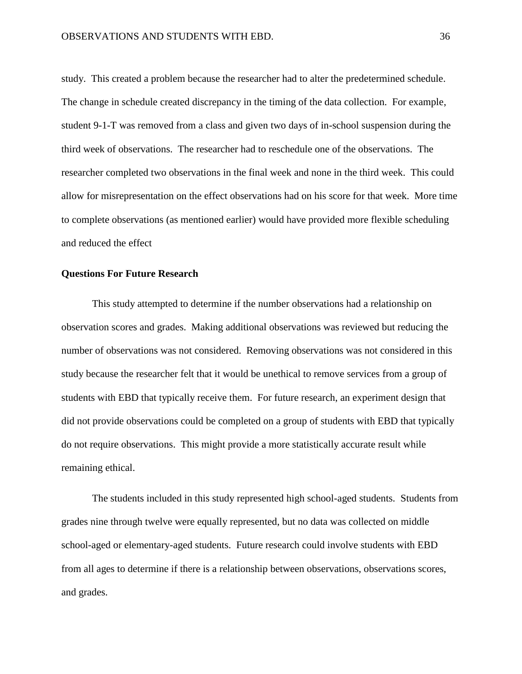study. This created a problem because the researcher had to alter the predetermined schedule. The change in schedule created discrepancy in the timing of the data collection. For example, student 9-1-T was removed from a class and given two days of in-school suspension during the third week of observations. The researcher had to reschedule one of the observations. The researcher completed two observations in the final week and none in the third week. This could allow for misrepresentation on the effect observations had on his score for that week. More time to complete observations (as mentioned earlier) would have provided more flexible scheduling and reduced the effect

## **Questions For Future Research**

This study attempted to determine if the number observations had a relationship on observation scores and grades. Making additional observations was reviewed but reducing the number of observations was not considered. Removing observations was not considered in this study because the researcher felt that it would be unethical to remove services from a group of students with EBD that typically receive them. For future research, an experiment design that did not provide observations could be completed on a group of students with EBD that typically do not require observations. This might provide a more statistically accurate result while remaining ethical.

The students included in this study represented high school-aged students. Students from grades nine through twelve were equally represented, but no data was collected on middle school-aged or elementary-aged students. Future research could involve students with EBD from all ages to determine if there is a relationship between observations, observations scores, and grades.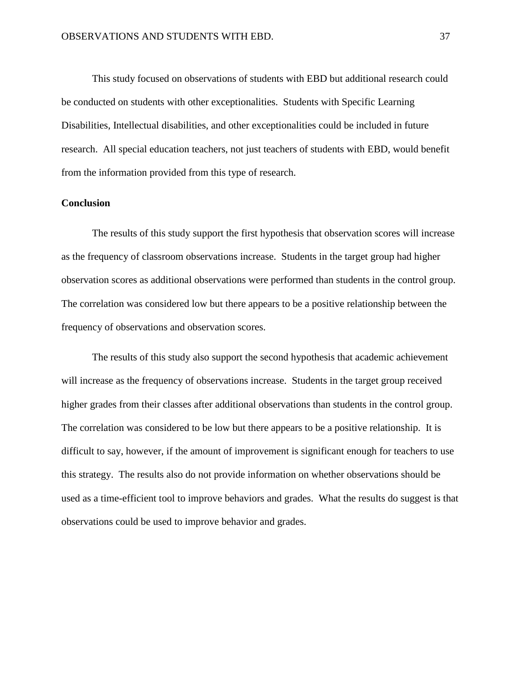This study focused on observations of students with EBD but additional research could be conducted on students with other exceptionalities. Students with Specific Learning Disabilities, Intellectual disabilities, and other exceptionalities could be included in future research. All special education teachers, not just teachers of students with EBD, would benefit from the information provided from this type of research.

## **Conclusion**

The results of this study support the first hypothesis that observation scores will increase as the frequency of classroom observations increase. Students in the target group had higher observation scores as additional observations were performed than students in the control group. The correlation was considered low but there appears to be a positive relationship between the frequency of observations and observation scores.

The results of this study also support the second hypothesis that academic achievement will increase as the frequency of observations increase. Students in the target group received higher grades from their classes after additional observations than students in the control group. The correlation was considered to be low but there appears to be a positive relationship. It is difficult to say, however, if the amount of improvement is significant enough for teachers to use this strategy. The results also do not provide information on whether observations should be used as a time-efficient tool to improve behaviors and grades. What the results do suggest is that observations could be used to improve behavior and grades.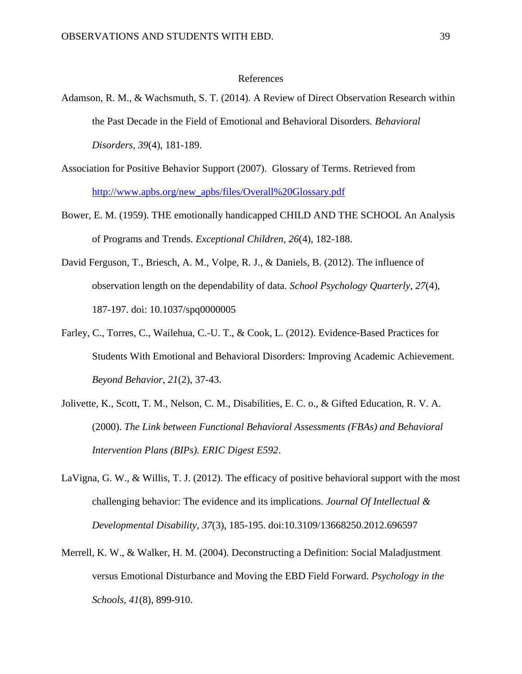#### References

- Adamson, R. M., & Wachsmuth, S. T. (2014). A Review of Direct Observation Research within the Past Decade in the Field of Emotional and Behavioral Disorders. *Behavioral Disorders, 39*(4), 181-189.
- Association for Positive Behavior Support (2007). Glossary of Terms. Retrieved from [http://www.apbs.org/new\\_apbs/files/Overall%20Glossary.pdf](http://www.apbs.org/new_apbs/files/Overall%20Glossary.pdf)
- Bower, E. M. (1959). THE emotionally handicapped CHILD AND THE SCHOOL An Analysis of Programs and Trends. *Exceptional Children, 26*(4), 182-188.
- David Ferguson, T., Briesch, A. M., Volpe, R. J., & Daniels, B. (2012). The influence of observation length on the dependability of data. *School Psychology Quarterly, 27*(4), 187-197. doi: 10.1037/spq0000005
- Farley, C., Torres, C., Wailehua, C.-U. T., & Cook, L. (2012). Evidence-Based Practices for Students With Emotional and Behavioral Disorders: Improving Academic Achievement. *Beyond Behavior, 21*(2), 37-43.
- Jolivette, K., Scott, T. M., Nelson, C. M., Disabilities, E. C. o., & Gifted Education, R. V. A. (2000). *The Link between Functional Behavioral Assessments (FBAs) and Behavioral Intervention Plans (BIPs). ERIC Digest E592*.
- LaVigna, G. W., & Willis, T. J. (2012). The efficacy of positive behavioral support with the most challenging behavior: The evidence and its implications. *Journal Of Intellectual & Developmental Disability*, *37*(3), 185-195. doi:10.3109/13668250.2012.696597
- Merrell, K. W., & Walker, H. M. (2004). Deconstructing a Definition: Social Maladjustment versus Emotional Disturbance and Moving the EBD Field Forward. *Psychology in the Schools, 41*(8), 899-910.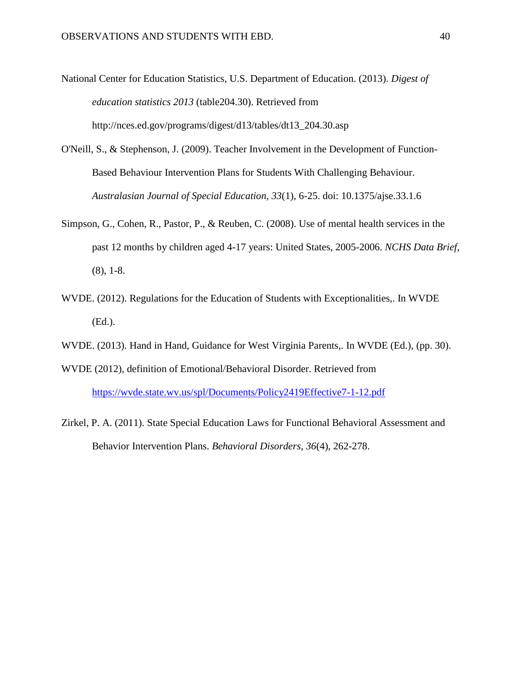- National Center for Education Statistics, U.S. Department of Education. (2013). *Digest of education statistics 2013* (table204.30). Retrieved from http://nces.ed.gov/programs/digest/d13/tables/dt13\_204.30.asp
- O'Neill, S., & Stephenson, J. (2009). Teacher Involvement in the Development of Function-Based Behaviour Intervention Plans for Students With Challenging Behaviour. *Australasian Journal of Special Education, 33*(1), 6-25. doi: 10.1375/ajse.33.1.6
- Simpson, G., Cohen, R., Pastor, P., & Reuben, C. (2008). Use of mental health services in the past 12 months by children aged 4-17 years: United States, 2005-2006. *NCHS Data Brief*, (8), 1-8.
- WVDE. (2012). Regulations for the Education of Students with Exceptionalities,. In WVDE (Ed.).
- WVDE. (2013). Hand in Hand, Guidance for West Virginia Parents,. In WVDE (Ed.), (pp. 30).
- WVDE (2012), definition of Emotional/Behavioral Disorder. Retrieved from <https://wvde.state.wv.us/spl/Documents/Policy2419Effective7-1-12.pdf>
- Zirkel, P. A. (2011). State Special Education Laws for Functional Behavioral Assessment and Behavior Intervention Plans. *Behavioral Disorders, 36*(4), 262-278.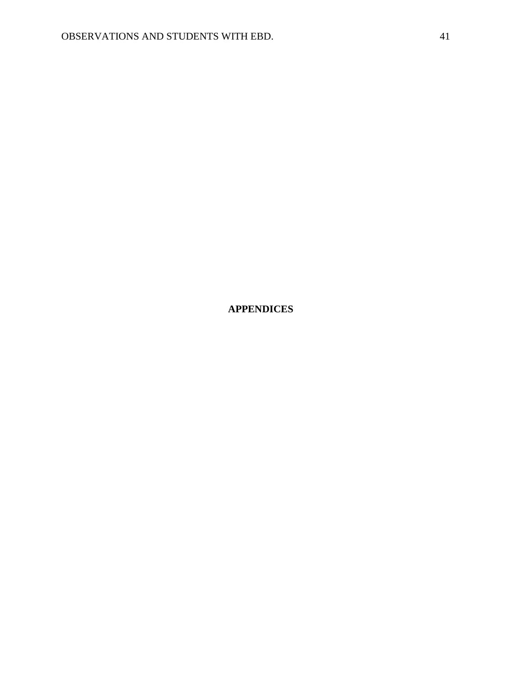**APPENDICES**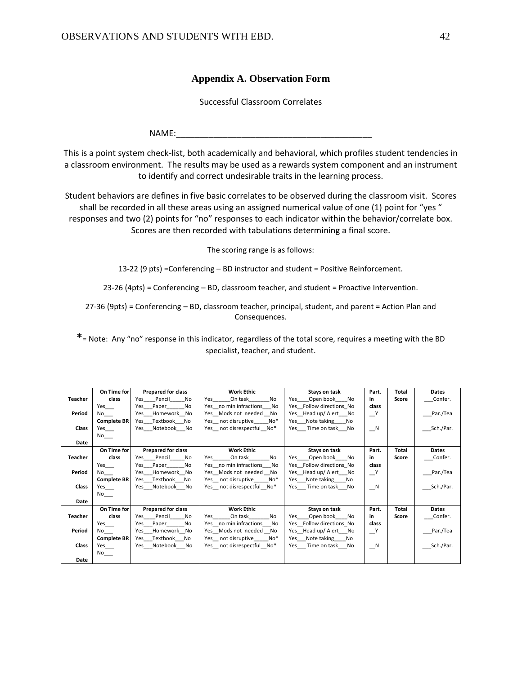# **Appendix A. Observation Form**

Successful Classroom Correlates

 $NAME:$ 

This is a point system check-list, both academically and behavioral, which profiles student tendencies in a classroom environment. The results may be used as a rewards system component and an instrument to identify and correct undesirable traits in the learning process.

Student behaviors are defines in five basic correlates to be observed during the classroom visit. Scores shall be recorded in all these areas using an assigned numerical value of one (1) point for "yes " responses and two (2) points for "no" responses to each indicator within the behavior/correlate box. Scores are then recorded with tabulations determining a final score.

The scoring range is as follows:

13-22 (9 pts) =Conferencing – BD instructor and student = Positive Reinforcement.

23-26 (4pts) = Conferencing – BD, classroom teacher, and student = Proactive Intervention.

27-36 (9pts) = Conferencing – BD, classroom teacher, principal, student, and parent = Action Plan and Consequences.

**\***= Note: Any "no" response in this indicator, regardless of the total score, requires a meeting with the BD specialist, teacher, and student.

|         | On Time for           | <b>Prepared for class</b> | <b>Work Ethic</b>         | Stays on task            | Part.        | Total        | <b>Dates</b>  |
|---------|-----------------------|---------------------------|---------------------------|--------------------------|--------------|--------------|---------------|
| Teacher | class                 | Pencil<br>Yes<br>No       | Yes<br>On task<br>No      | Yes Open book<br>No      | in           | Score        | Confer.       |
|         | $Yes$ <sub>___</sub>  | No<br>Paper<br>Yes        | Yes no min infractions No | Yes Follow directions No | class        |              |               |
| Period  | No l                  | Yes Homework No           | Yes Mods not needed No    | Yes Head up/Alert No     | $\mathsf{Y}$ |              | $\_$ Par./Tea |
|         | <b>Complete BR</b>    | Yes Textbook No           | Yes not disruptive No*    | Yes Note taking<br>No    |              |              |               |
| Class   | Yes                   | Yes Notebook No           | Yes not disrespectful No* | Yes Time on task No      | $\mathsf{N}$ |              | Sch./Par.     |
|         | $No$ <sub>____</sub>  |                           |                           |                          |              |              |               |
| Date    |                       |                           |                           |                          |              |              |               |
|         | On Time for           | <b>Prepared for class</b> | <b>Work Ethic</b>         | Stays on task            | Part.        | Total        | <b>Dates</b>  |
| Teacher | class                 | Yes Pencil<br>No          | Yes<br>No<br>On task      | Yes Open book No         | in           | Score        | Confer.       |
|         | $Yes$ <sub>____</sub> | Yes Paper<br>No           | Yes no min infractions No | Yes Follow directions No | class        |              |               |
| Period  | No l                  | Yes Homework No           | Yes Mods not needed No    | Yes Head up/ Alert No    | $\mathsf{I}$ |              | Par./Tea      |
|         | <b>Complete BR</b>    | Yes Textbook No           | Yes not disruptive No*    | Yes Note taking No       |              |              |               |
| Class   | Yes                   | Yes Notebook No           | Yes not disrespectful No* | Yes Time on task No      | $-^N$        |              | Sch./Par.     |
|         | $No$ <sub>____</sub>  |                           |                           |                          |              |              |               |
| Date    |                       |                           |                           |                          |              |              |               |
|         | On Time for           | <b>Prepared for class</b> | <b>Work Ethic</b>         | Stays on task            | Part.        | <b>Total</b> | Dates         |
| Teacher | class                 | Yes Pencil<br>No          | No<br>On task             | Yes Open book No         | in           | Score        | Confer.       |
|         | Yes ____              | No<br>Yes Paper           | Yes no min infractions No | Yes Follow directions No | class        |              |               |
| Period  | No l                  | Yes Homework No           | Yes Mods not needed No    | Yes Head up/Alert No     | $\mathsf{Y}$ |              | Par./Tea      |
|         | <b>Complete BR</b>    | Yes Textbook No           | Yes not disruptive No*    | Yes Note taking<br>No    |              |              |               |
| Class   | Yes                   | Yes Notebook No           | Yes not disrespectful No* | Yes Time on task No      | $\mathbf{N}$ |              | Sch./Par.     |
|         | $No$ <sub>____</sub>  |                           |                           |                          |              |              |               |
| Date    |                       |                           |                           |                          |              |              |               |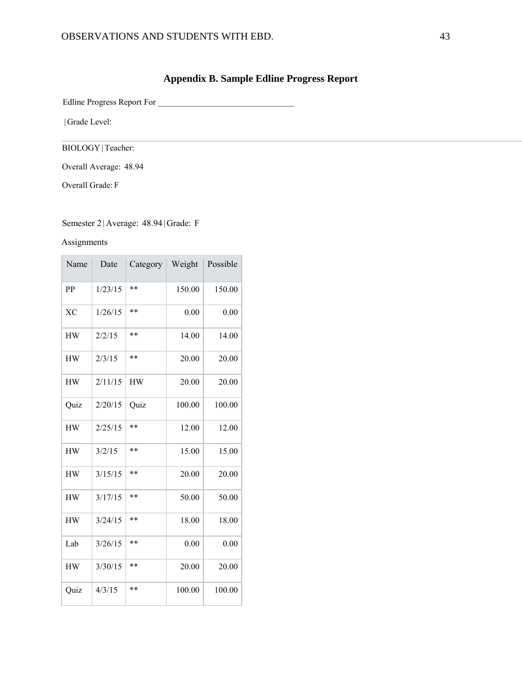# **Appendix B. Sample Edline Progress Report**

Edline Progress Report For \_\_\_\_\_\_\_\_\_\_\_\_\_\_\_\_\_\_\_\_\_\_\_\_\_\_\_\_\_\_\_\_

| Grade Level:

BIOLOGY |Teacher:

Overall Average: 48.94

Overall Grade: F

# Semester 2 | Average: 48.94 |Grade: F

## Assignments

| Name      | Date    | Category  | Weight | Possible |
|-----------|---------|-----------|--------|----------|
| PP        | 1/23/15 | $* *$     | 150.00 | 150.00   |
| <b>XC</b> | 1/26/15 | $* *$     | 0.00   | 0.00     |
| HW        | 2/2/15  | $* *$     | 14.00  | 14.00    |
| HW        | 2/3/15  | $* *$     | 20.00  | 20.00    |
| HW        | 2/11/15 | <b>HW</b> | 20.00  | 20.00    |
| Quiz      | 2/20/15 | Quiz      | 100.00 | 100.00   |
| HW        | 2/25/15 | $* *$     | 12.00  | 12.00    |
| HW        | 3/2/15  | $* *$     | 15.00  | 15.00    |
| HW        | 3/15/15 | $* *$     | 20.00  | 20.00    |
| <b>HW</b> | 3/17/15 | $***$     | 50.00  | 50.00    |
| HW        | 3/24/15 | $* *$     | 18.00  | 18.00    |
| Lab       | 3/26/15 | $* *$     | 0.00   | 0.00     |
| HW        | 3/30/15 | $* *$     | 20.00  | 20.00    |
| Quiz      | 4/3/15  | $* *$     | 100.00 | 100.00   |